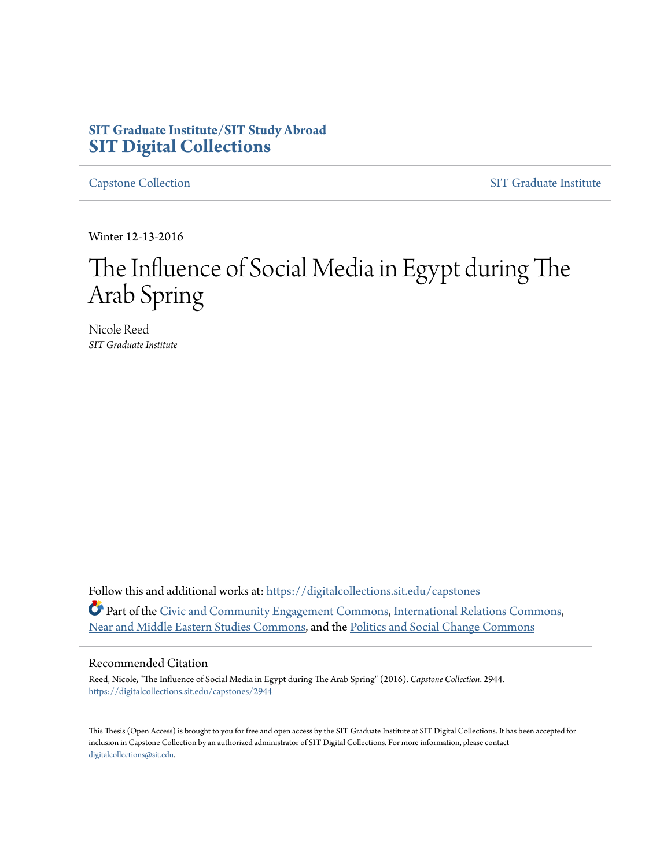## **SIT Graduate Institute/SIT Study Abroad [SIT Digital Collections](https://digitalcollections.sit.edu?utm_source=digitalcollections.sit.edu%2Fcapstones%2F2944&utm_medium=PDF&utm_campaign=PDFCoverPages)**

[Capstone Collection](https://digitalcollections.sit.edu/capstones?utm_source=digitalcollections.sit.edu%2Fcapstones%2F2944&utm_medium=PDF&utm_campaign=PDFCoverPages) **[SIT Graduate Institute](https://digitalcollections.sit.edu/graduate_institute?utm_source=digitalcollections.sit.edu%2Fcapstones%2F2944&utm_medium=PDF&utm_campaign=PDFCoverPages)** 

Winter 12-13-2016

# The Influence of Social Media in Egypt during The Arab Spring

Nicole Reed *SIT Graduate Institute*

Follow this and additional works at: [https://digitalcollections.sit.edu/capstones](https://digitalcollections.sit.edu/capstones?utm_source=digitalcollections.sit.edu%2Fcapstones%2F2944&utm_medium=PDF&utm_campaign=PDFCoverPages) Part of the [Civic and Community Engagement Commons,](http://network.bepress.com/hgg/discipline/1028?utm_source=digitalcollections.sit.edu%2Fcapstones%2F2944&utm_medium=PDF&utm_campaign=PDFCoverPages) [International Relations Commons,](http://network.bepress.com/hgg/discipline/389?utm_source=digitalcollections.sit.edu%2Fcapstones%2F2944&utm_medium=PDF&utm_campaign=PDFCoverPages) [Near and Middle Eastern Studies Commons,](http://network.bepress.com/hgg/discipline/1308?utm_source=digitalcollections.sit.edu%2Fcapstones%2F2944&utm_medium=PDF&utm_campaign=PDFCoverPages) and the [Politics and Social Change Commons](http://network.bepress.com/hgg/discipline/425?utm_source=digitalcollections.sit.edu%2Fcapstones%2F2944&utm_medium=PDF&utm_campaign=PDFCoverPages)

#### Recommended Citation

Reed, Nicole, "The Influence of Social Media in Egypt during The Arab Spring" (2016). *Capstone Collection*. 2944. [https://digitalcollections.sit.edu/capstones/2944](https://digitalcollections.sit.edu/capstones/2944?utm_source=digitalcollections.sit.edu%2Fcapstones%2F2944&utm_medium=PDF&utm_campaign=PDFCoverPages)

This Thesis (Open Access) is brought to you for free and open access by the SIT Graduate Institute at SIT Digital Collections. It has been accepted for inclusion in Capstone Collection by an authorized administrator of SIT Digital Collections. For more information, please contact [digitalcollections@sit.edu.](mailto:digitalcollections@sit.edu)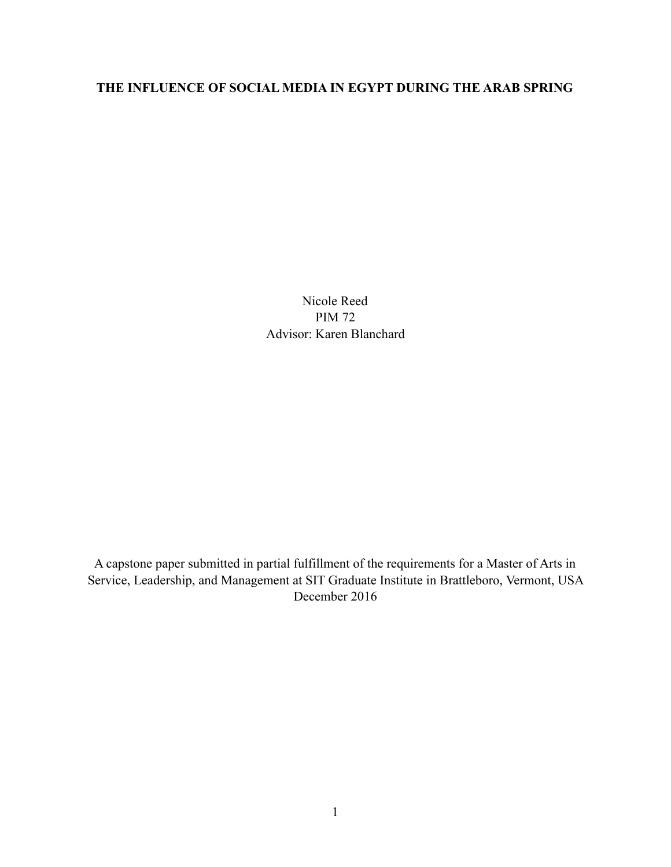## **THE INFLUENCE OF SOCIAL MEDIA IN EGYPT DURING THE ARAB SPRING**

Nicole Reed PIM 72 Advisor: Karen Blanchard

A capstone paper submitted in partial fulfillment of the requirements for a Master of Arts in Service, Leadership, and Management at SIT Graduate Institute in Brattleboro, Vermont, USA December 2016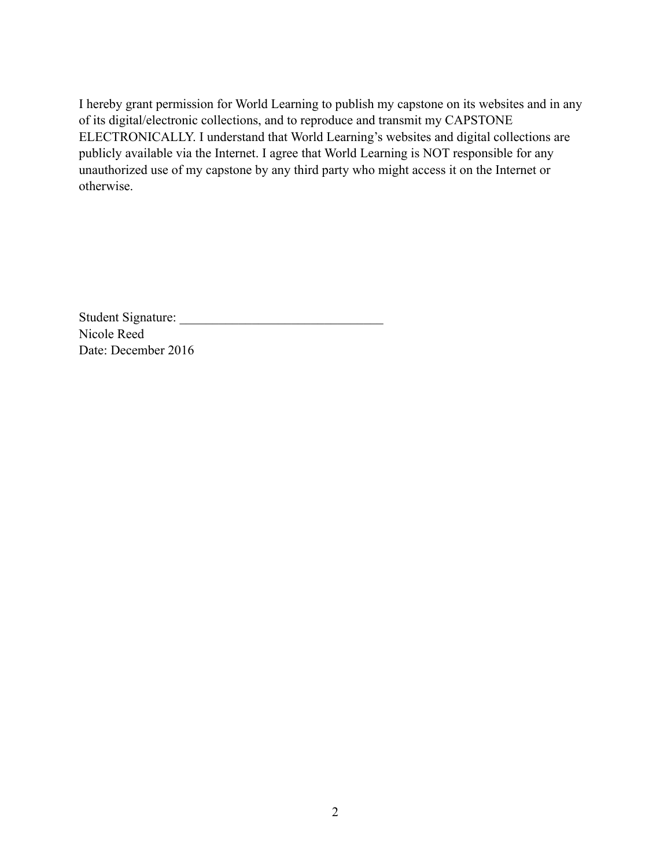I hereby grant permission for World Learning to publish my capstone on its websites and in any of its digital/electronic collections, and to reproduce and transmit my CAPSTONE ELECTRONICALLY. I understand that World Learning's websites and digital collections are publicly available via the Internet. I agree that World Learning is NOT responsible for any unauthorized use of my capstone by any third party who might access it on the Internet or otherwise.

Student Signature: \_\_\_\_\_\_\_\_\_\_\_\_\_\_\_\_\_\_\_\_\_\_\_\_\_\_\_\_\_\_\_ Nicole Reed Date: December 2016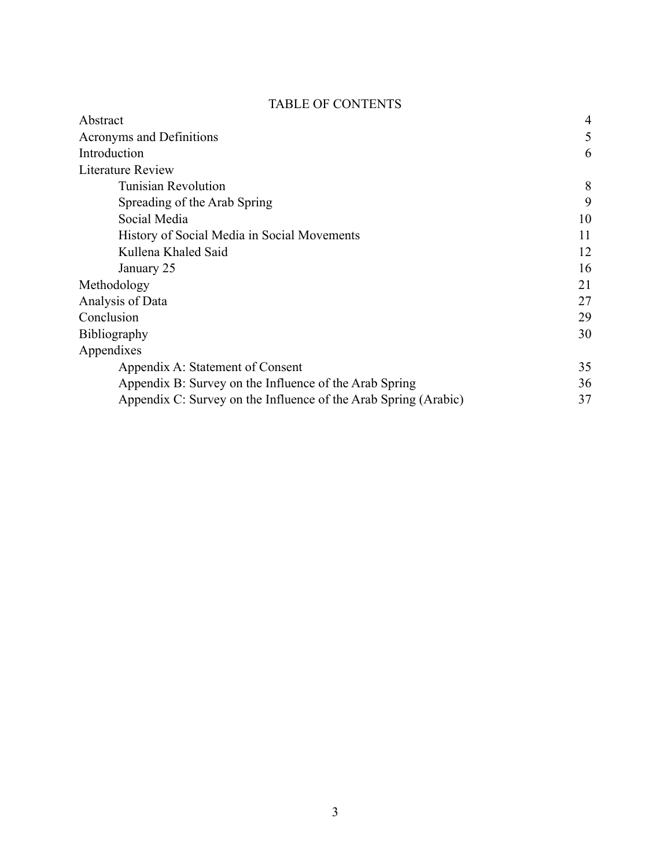## TABLE OF CONTENTS

| Abstract                                                        | 4  |
|-----------------------------------------------------------------|----|
| Acronyms and Definitions                                        | 5  |
| Introduction                                                    | 6  |
| Literature Review                                               |    |
| <b>Tunisian Revolution</b>                                      | 8  |
| Spreading of the Arab Spring                                    | 9  |
| Social Media                                                    | 10 |
| History of Social Media in Social Movements                     | 11 |
| Kullena Khaled Said                                             | 12 |
| January 25                                                      | 16 |
| Methodology                                                     | 21 |
| Analysis of Data                                                | 27 |
| Conclusion                                                      | 29 |
| <b>Bibliography</b>                                             | 30 |
| Appendixes                                                      |    |
| Appendix A: Statement of Consent                                | 35 |
| Appendix B: Survey on the Influence of the Arab Spring          | 36 |
| Appendix C: Survey on the Influence of the Arab Spring (Arabic) | 37 |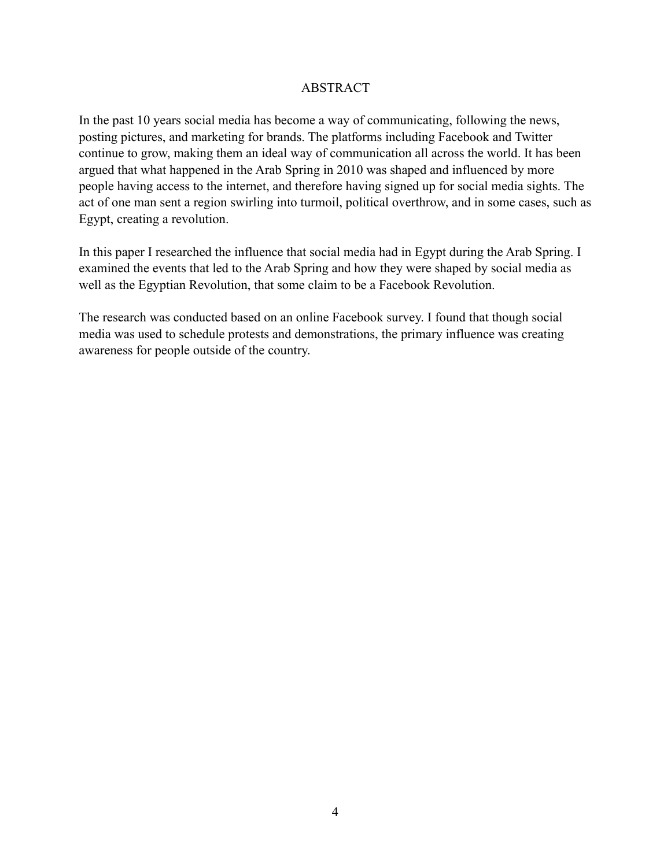## ABSTRACT

In the past 10 years social media has become a way of communicating, following the news, posting pictures, and marketing for brands. The platforms including Facebook and Twitter continue to grow, making them an ideal way of communication all across the world. It has been argued that what happened in the Arab Spring in 2010 was shaped and influenced by more people having access to the internet, and therefore having signed up for social media sights. The act of one man sent a region swirling into turmoil, political overthrow, and in some cases, such as Egypt, creating a revolution.

In this paper I researched the influence that social media had in Egypt during the Arab Spring. I examined the events that led to the Arab Spring and how they were shaped by social media as well as the Egyptian Revolution, that some claim to be a Facebook Revolution.

The research was conducted based on an online Facebook survey. I found that though social media was used to schedule protests and demonstrations, the primary influence was creating awareness for people outside of the country.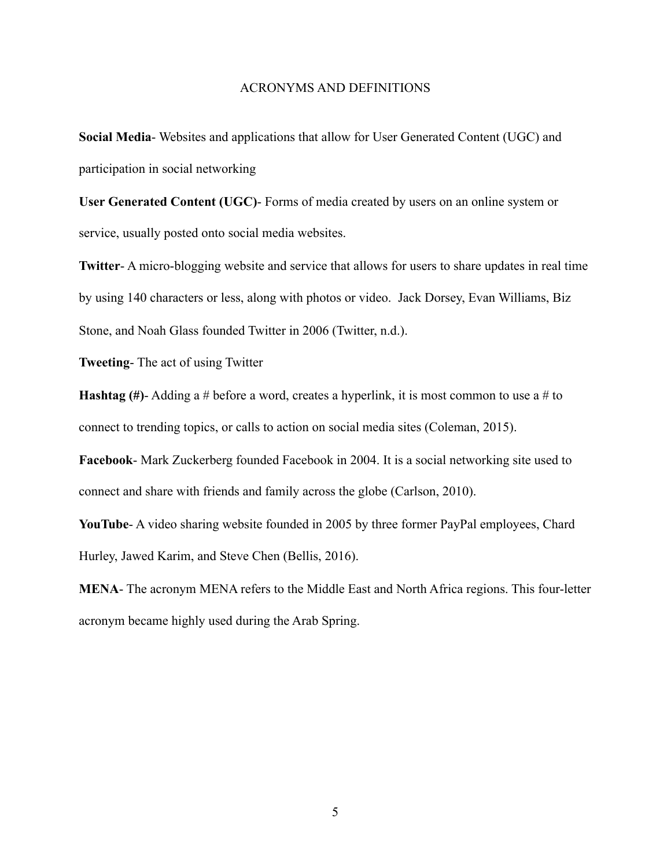#### ACRONYMS AND DEFINITIONS

**Social Media**- Websites and applications that allow for User Generated Content (UGC) and participation in social networking

**User Generated Content (UGC)**- Forms of media created by users on an online system or service, usually posted onto social media websites.

**Twitter**- A micro-blogging website and service that allows for users to share updates in real time by using 140 characters or less, along with photos or video. Jack Dorsey, Evan Williams, Biz Stone, and Noah Glass founded Twitter in 2006 (Twitter, n.d.).

**Tweeting**- The act of using Twitter

**Hashtag** (#)- Adding a # before a word, creates a hyperlink, it is most common to use a # to connect to trending topics, or calls to action on social media sites (Coleman, 2015).

**Facebook**- Mark Zuckerberg founded Facebook in 2004. It is a social networking site used to connect and share with friends and family across the globe (Carlson, 2010).

**YouTube**- A video sharing website founded in 2005 by three former PayPal employees, Chard Hurley, Jawed Karim, and Steve Chen (Bellis, 2016).

**MENA**- The acronym MENA refers to the Middle East and North Africa regions. This four-letter acronym became highly used during the Arab Spring.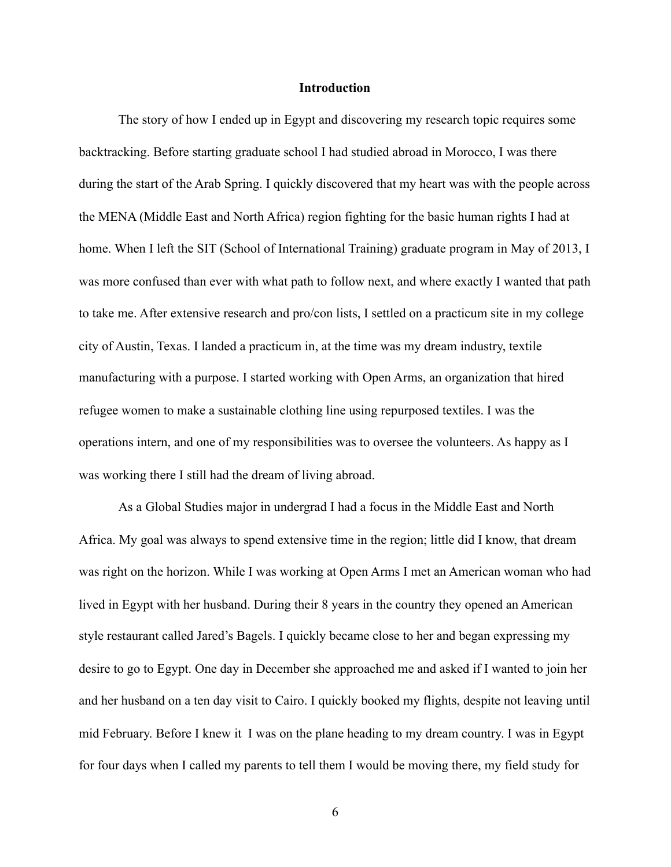#### **Introduction**

 The story of how I ended up in Egypt and discovering my research topic requires some backtracking. Before starting graduate school I had studied abroad in Morocco, I was there during the start of the Arab Spring. I quickly discovered that my heart was with the people across the MENA (Middle East and North Africa) region fighting for the basic human rights I had at home. When I left the SIT (School of International Training) graduate program in May of 2013, I was more confused than ever with what path to follow next, and where exactly I wanted that path to take me. After extensive research and pro/con lists, I settled on a practicum site in my college city of Austin, Texas. I landed a practicum in, at the time was my dream industry, textile manufacturing with a purpose. I started working with Open Arms, an organization that hired refugee women to make a sustainable clothing line using repurposed textiles. I was the operations intern, and one of my responsibilities was to oversee the volunteers. As happy as I was working there I still had the dream of living abroad.

 As a Global Studies major in undergrad I had a focus in the Middle East and North Africa. My goal was always to spend extensive time in the region; little did I know, that dream was right on the horizon. While I was working at Open Arms I met an American woman who had lived in Egypt with her husband. During their 8 years in the country they opened an American style restaurant called Jared's Bagels. I quickly became close to her and began expressing my desire to go to Egypt. One day in December she approached me and asked if I wanted to join her and her husband on a ten day visit to Cairo. I quickly booked my flights, despite not leaving until mid February. Before I knew it I was on the plane heading to my dream country. I was in Egypt for four days when I called my parents to tell them I would be moving there, my field study for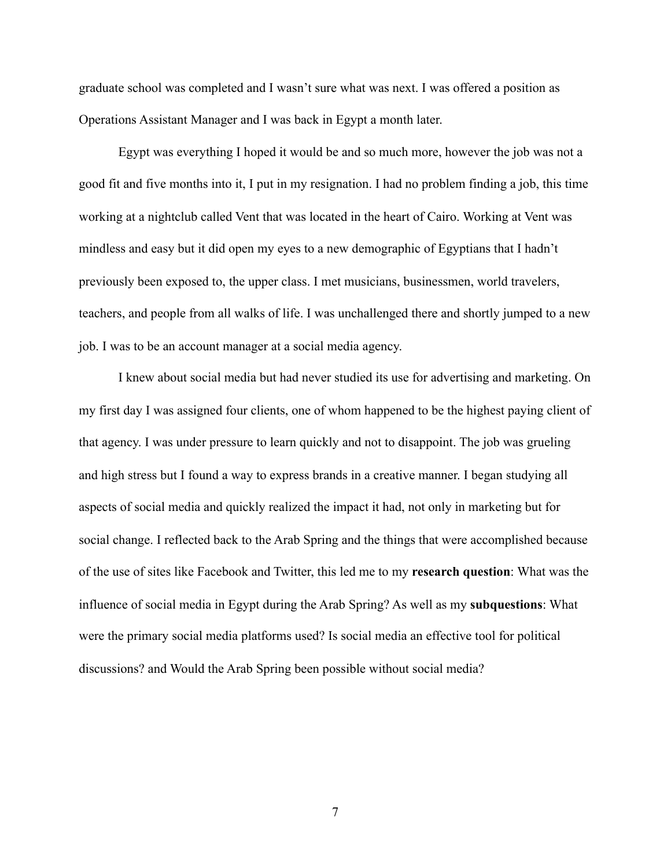graduate school was completed and I wasn't sure what was next. I was offered a position as Operations Assistant Manager and I was back in Egypt a month later.

 Egypt was everything I hoped it would be and so much more, however the job was not a good fit and five months into it, I put in my resignation. I had no problem finding a job, this time working at a nightclub called Vent that was located in the heart of Cairo. Working at Vent was mindless and easy but it did open my eyes to a new demographic of Egyptians that I hadn't previously been exposed to, the upper class. I met musicians, businessmen, world travelers, teachers, and people from all walks of life. I was unchallenged there and shortly jumped to a new job. I was to be an account manager at a social media agency.

 I knew about social media but had never studied its use for advertising and marketing. On my first day I was assigned four clients, one of whom happened to be the highest paying client of that agency. I was under pressure to learn quickly and not to disappoint. The job was grueling and high stress but I found a way to express brands in a creative manner. I began studying all aspects of social media and quickly realized the impact it had, not only in marketing but for social change. I reflected back to the Arab Spring and the things that were accomplished because of the use of sites like Facebook and Twitter, this led me to my **research question**: What was the influence of social media in Egypt during the Arab Spring? As well as my **subquestions**: What were the primary social media platforms used? Is social media an effective tool for political discussions? and Would the Arab Spring been possible without social media?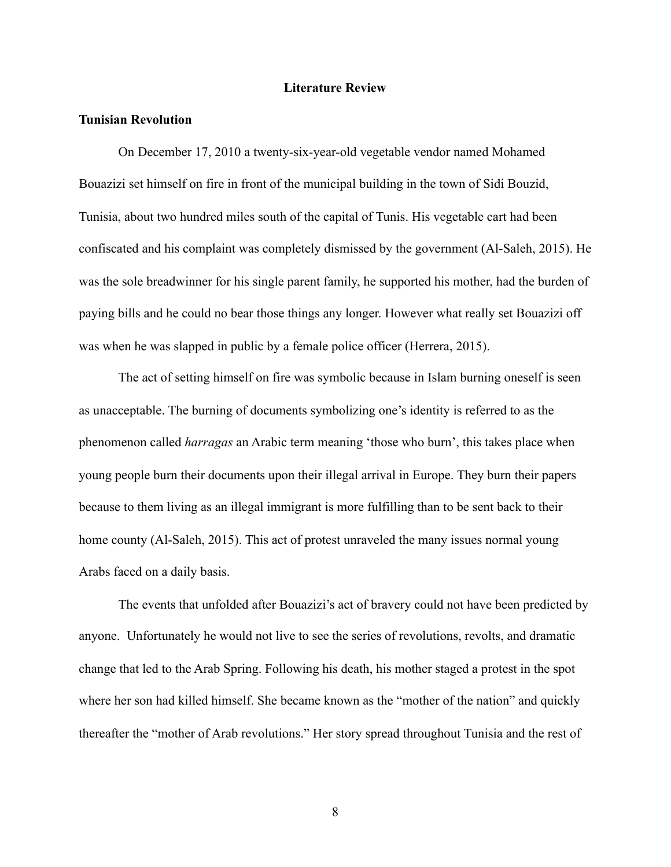#### **Literature Review**

#### **Tunisian Revolution**

 On December 17, 2010 a twenty-six-year-old vegetable vendor named Mohamed Bouazizi set himself on fire in front of the municipal building in the town of Sidi Bouzid, Tunisia, about two hundred miles south of the capital of Tunis. His vegetable cart had been confiscated and his complaint was completely dismissed by the government (Al-Saleh, 2015). He was the sole breadwinner for his single parent family, he supported his mother, had the burden of paying bills and he could no bear those things any longer. However what really set Bouazizi off was when he was slapped in public by a female police officer (Herrera, 2015).

 The act of setting himself on fire was symbolic because in Islam burning oneself is seen as unacceptable. The burning of documents symbolizing one's identity is referred to as the phenomenon called *harragas* an Arabic term meaning 'those who burn', this takes place when young people burn their documents upon their illegal arrival in Europe. They burn their papers because to them living as an illegal immigrant is more fulfilling than to be sent back to their home county (Al-Saleh, 2015). This act of protest unraveled the many issues normal young Arabs faced on a daily basis.

 The events that unfolded after Bouazizi's act of bravery could not have been predicted by anyone. Unfortunately he would not live to see the series of revolutions, revolts, and dramatic change that led to the Arab Spring. Following his death, his mother staged a protest in the spot where her son had killed himself. She became known as the "mother of the nation" and quickly thereafter the "mother of Arab revolutions." Her story spread throughout Tunisia and the rest of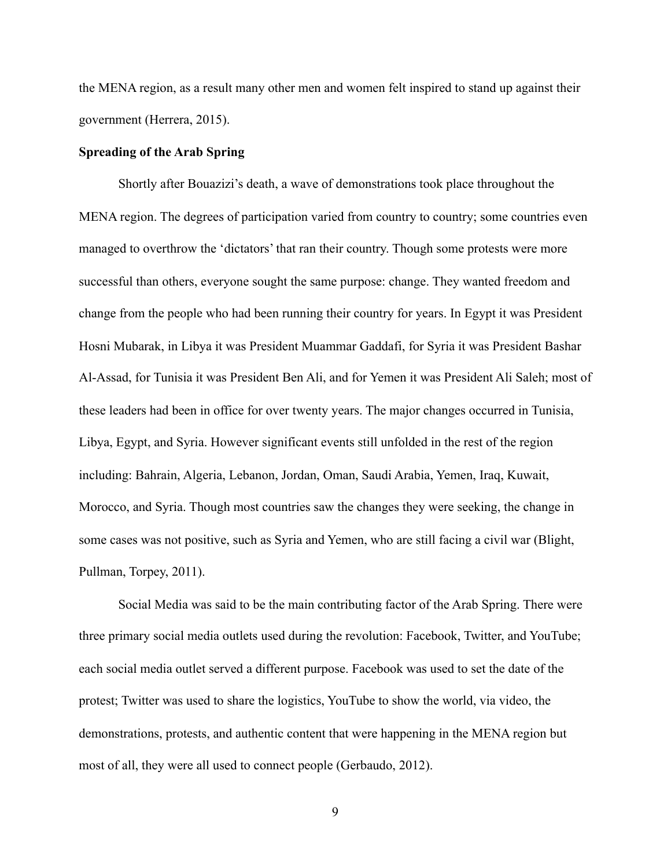the MENA region, as a result many other men and women felt inspired to stand up against their government (Herrera, 2015).

## **Spreading of the Arab Spring**

 Shortly after Bouazizi's death, a wave of demonstrations took place throughout the MENA region. The degrees of participation varied from country to country; some countries even managed to overthrow the 'dictators' that ran their country. Though some protests were more successful than others, everyone sought the same purpose: change. They wanted freedom and change from the people who had been running their country for years. In Egypt it was President Hosni Mubarak, in Libya it was President Muammar Gaddafi, for Syria it was President Bashar Al-Assad, for Tunisia it was President Ben Ali, and for Yemen it was President Ali Saleh; most of these leaders had been in office for over twenty years. The major changes occurred in Tunisia, Libya, Egypt, and Syria. However significant events still unfolded in the rest of the region including: Bahrain, Algeria, Lebanon, Jordan, Oman, Saudi Arabia, Yemen, Iraq, Kuwait, Morocco, and Syria. Though most countries saw the changes they were seeking, the change in some cases was not positive, such as Syria and Yemen, who are still facing a civil war (Blight, Pullman, Torpey, 2011).

 Social Media was said to be the main contributing factor of the Arab Spring. There were three primary social media outlets used during the revolution: Facebook, Twitter, and YouTube; each social media outlet served a different purpose. Facebook was used to set the date of the protest; Twitter was used to share the logistics, YouTube to show the world, via video, the demonstrations, protests, and authentic content that were happening in the MENA region but most of all, they were all used to connect people (Gerbaudo, 2012).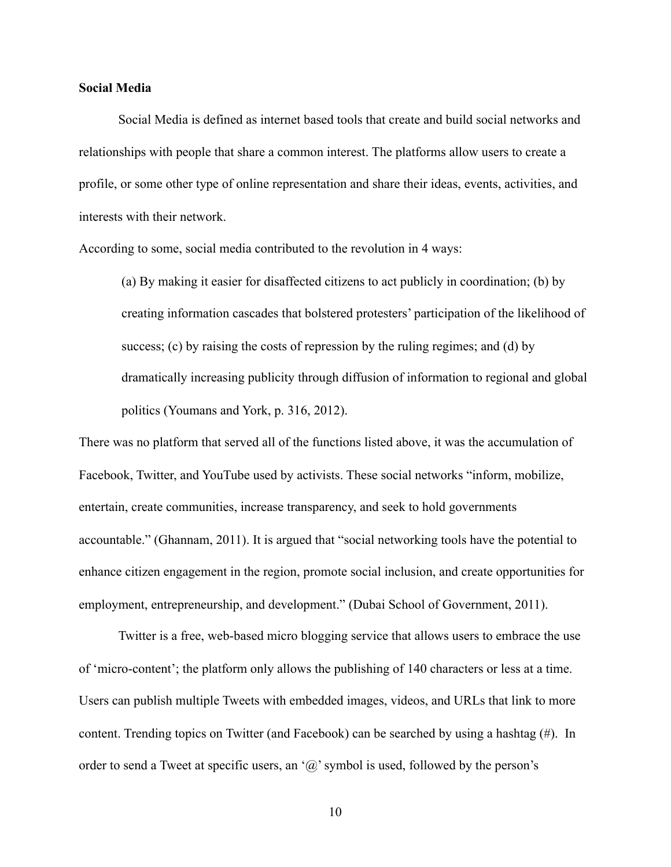#### **Social Media**

 Social Media is defined as internet based tools that create and build social networks and relationships with people that share a common interest. The platforms allow users to create a profile, or some other type of online representation and share their ideas, events, activities, and interests with their network.

According to some, social media contributed to the revolution in 4 ways:

(a) By making it easier for disaffected citizens to act publicly in coordination; (b) by creating information cascades that bolstered protesters' participation of the likelihood of success; (c) by raising the costs of repression by the ruling regimes; and (d) by dramatically increasing publicity through diffusion of information to regional and global politics (Youmans and York, p. 316, 2012).

There was no platform that served all of the functions listed above, it was the accumulation of Facebook, Twitter, and YouTube used by activists. These social networks "inform, mobilize, entertain, create communities, increase transparency, and seek to hold governments accountable." (Ghannam, 2011). It is argued that "social networking tools have the potential to enhance citizen engagement in the region, promote social inclusion, and create opportunities for employment, entrepreneurship, and development." (Dubai School of Government, 2011).

 Twitter is a free, web-based micro blogging service that allows users to embrace the use of 'micro-content'; the platform only allows the publishing of 140 characters or less at a time. Users can publish multiple Tweets with embedded images, videos, and URLs that link to more content. Trending topics on Twitter (and Facebook) can be searched by using a hashtag (#). In order to send a Tweet at specific users, an ' $\omega$ ' symbol is used, followed by the person's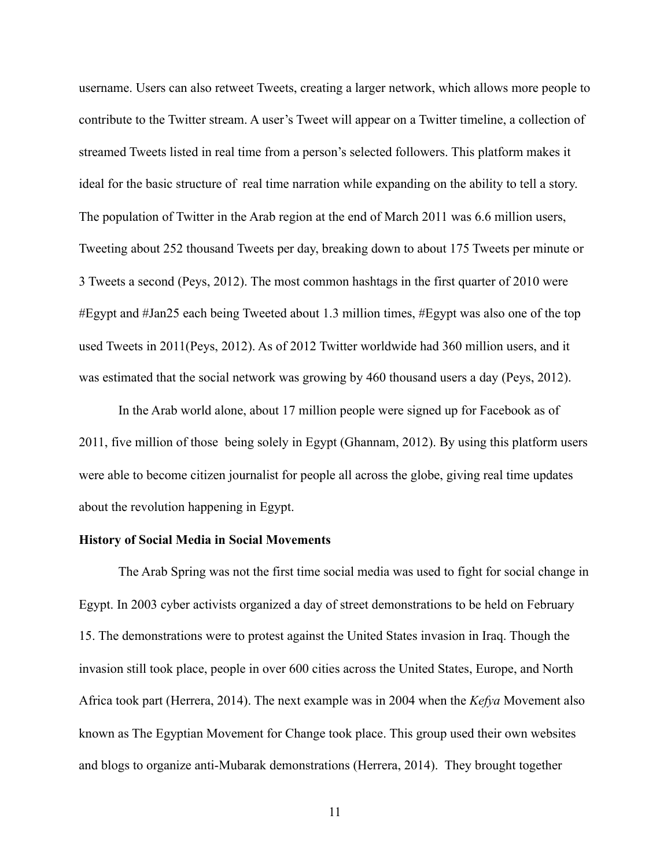username. Users can also retweet Tweets, creating a larger network, which allows more people to contribute to the Twitter stream. A user's Tweet will appear on a Twitter timeline, a collection of streamed Tweets listed in real time from a person's selected followers. This platform makes it ideal for the basic structure of real time narration while expanding on the ability to tell a story. The population of Twitter in the Arab region at the end of March 2011 was 6.6 million users, Tweeting about 252 thousand Tweets per day, breaking down to about 175 Tweets per minute or 3 Tweets a second (Peys, 2012). The most common hashtags in the first quarter of 2010 were #Egypt and #Jan25 each being Tweeted about 1.3 million times, #Egypt was also one of the top used Tweets in 2011(Peys, 2012). As of 2012 Twitter worldwide had 360 million users, and it was estimated that the social network was growing by 460 thousand users a day (Peys, 2012).

 In the Arab world alone, about 17 million people were signed up for Facebook as of 2011, five million of those being solely in Egypt (Ghannam, 2012). By using this platform users were able to become citizen journalist for people all across the globe, giving real time updates about the revolution happening in Egypt.

#### **History of Social Media in Social Movements**

 The Arab Spring was not the first time social media was used to fight for social change in Egypt. In 2003 cyber activists organized a day of street demonstrations to be held on February 15. The demonstrations were to protest against the United States invasion in Iraq. Though the invasion still took place, people in over 600 cities across the United States, Europe, and North Africa took part (Herrera, 2014). The next example was in 2004 when the *Kefya* Movement also known as The Egyptian Movement for Change took place. This group used their own websites and blogs to organize anti-Mubarak demonstrations (Herrera, 2014). They brought together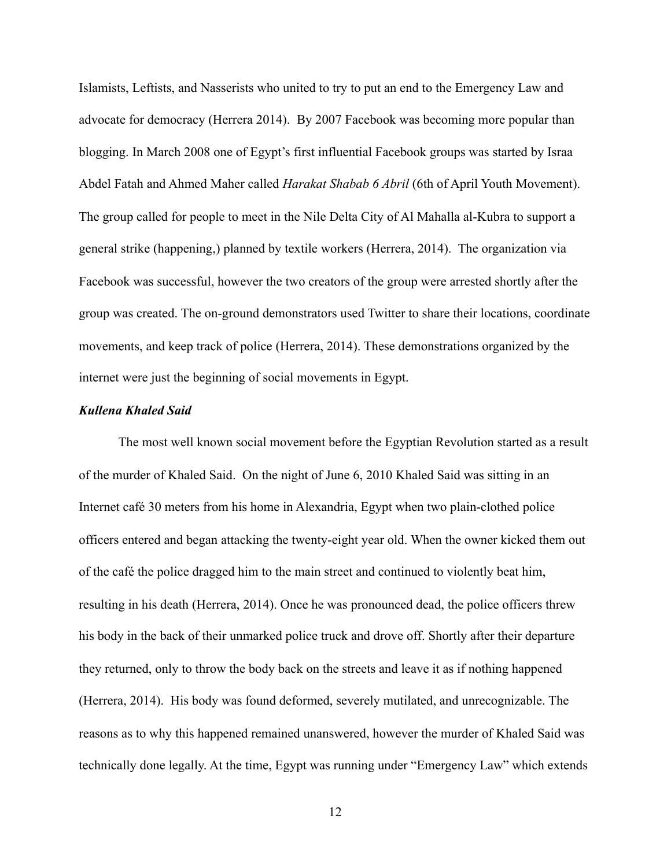Islamists, Leftists, and Nasserists who united to try to put an end to the Emergency Law and advocate for democracy (Herrera 2014). By 2007 Facebook was becoming more popular than blogging. In March 2008 one of Egypt's first influential Facebook groups was started by Israa Abdel Fatah and Ahmed Maher called *Harakat Shabab 6 Abril* (6th of April Youth Movement). The group called for people to meet in the Nile Delta City of Al Mahalla al-Kubra to support a general strike (happening,) planned by textile workers (Herrera, 2014). The organization via Facebook was successful, however the two creators of the group were arrested shortly after the group was created. The on-ground demonstrators used Twitter to share their locations, coordinate movements, and keep track of police (Herrera, 2014). These demonstrations organized by the internet were just the beginning of social movements in Egypt.

#### *Kullena Khaled Said*

 The most well known social movement before the Egyptian Revolution started as a result of the murder of Khaled Said. On the night of June 6, 2010 Khaled Said was sitting in an Internet café 30 meters from his home in Alexandria, Egypt when two plain-clothed police officers entered and began attacking the twenty-eight year old. When the owner kicked them out of the café the police dragged him to the main street and continued to violently beat him, resulting in his death (Herrera, 2014). Once he was pronounced dead, the police officers threw his body in the back of their unmarked police truck and drove off. Shortly after their departure they returned, only to throw the body back on the streets and leave it as if nothing happened (Herrera, 2014). His body was found deformed, severely mutilated, and unrecognizable. The reasons as to why this happened remained unanswered, however the murder of Khaled Said was technically done legally. At the time, Egypt was running under "Emergency Law" which extends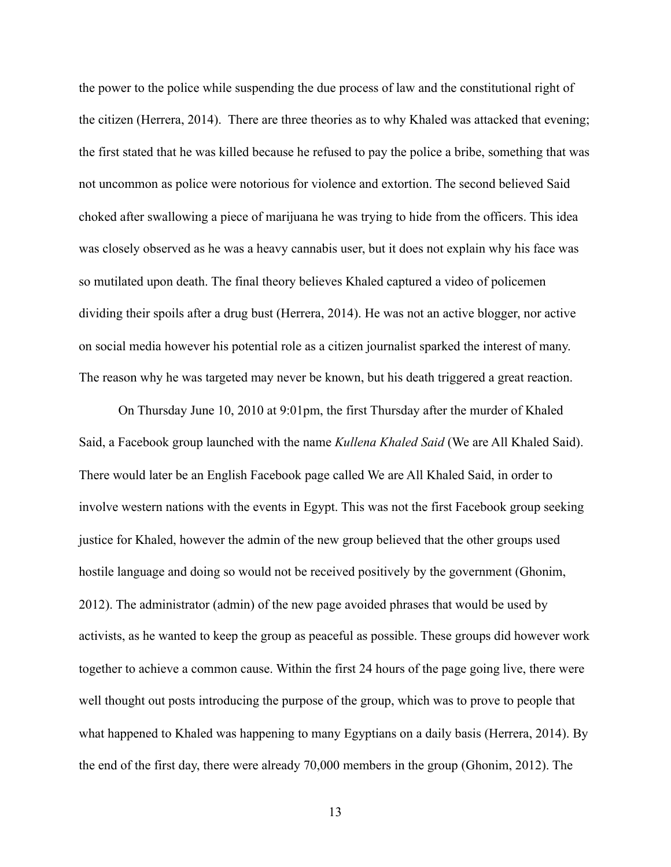the power to the police while suspending the due process of law and the constitutional right of the citizen (Herrera, 2014). There are three theories as to why Khaled was attacked that evening; the first stated that he was killed because he refused to pay the police a bribe, something that was not uncommon as police were notorious for violence and extortion. The second believed Said choked after swallowing a piece of marijuana he was trying to hide from the officers. This idea was closely observed as he was a heavy cannabis user, but it does not explain why his face was so mutilated upon death. The final theory believes Khaled captured a video of policemen dividing their spoils after a drug bust (Herrera, 2014). He was not an active blogger, nor active on social media however his potential role as a citizen journalist sparked the interest of many. The reason why he was targeted may never be known, but his death triggered a great reaction.

 On Thursday June 10, 2010 at 9:01pm, the first Thursday after the murder of Khaled Said, a Facebook group launched with the name *Kullena Khaled Said* (We are All Khaled Said). There would later be an English Facebook page called We are All Khaled Said, in order to involve western nations with the events in Egypt. This was not the first Facebook group seeking justice for Khaled, however the admin of the new group believed that the other groups used hostile language and doing so would not be received positively by the government (Ghonim, 2012). The administrator (admin) of the new page avoided phrases that would be used by activists, as he wanted to keep the group as peaceful as possible. These groups did however work together to achieve a common cause. Within the first 24 hours of the page going live, there were well thought out posts introducing the purpose of the group, which was to prove to people that what happened to Khaled was happening to many Egyptians on a daily basis (Herrera, 2014). By the end of the first day, there were already 70,000 members in the group (Ghonim, 2012). The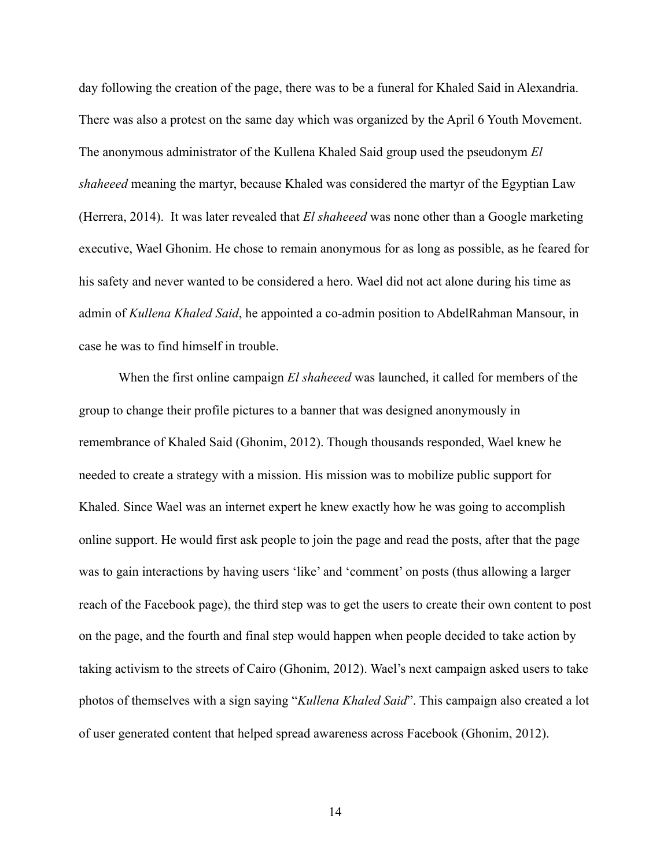day following the creation of the page, there was to be a funeral for Khaled Said in Alexandria. There was also a protest on the same day which was organized by the April 6 Youth Movement. The anonymous administrator of the Kullena Khaled Said group used the pseudonym *El shaheeed* meaning the martyr, because Khaled was considered the martyr of the Egyptian Law (Herrera, 2014). It was later revealed that *El shaheeed* was none other than a Google marketing executive, Wael Ghonim. He chose to remain anonymous for as long as possible, as he feared for his safety and never wanted to be considered a hero. Wael did not act alone during his time as admin of *Kullena Khaled Said*, he appointed a co-admin position to AbdelRahman Mansour, in case he was to find himself in trouble.

 When the first online campaign *El shaheeed* was launched, it called for members of the group to change their profile pictures to a banner that was designed anonymously in remembrance of Khaled Said (Ghonim, 2012). Though thousands responded, Wael knew he needed to create a strategy with a mission. His mission was to mobilize public support for Khaled. Since Wael was an internet expert he knew exactly how he was going to accomplish online support. He would first ask people to join the page and read the posts, after that the page was to gain interactions by having users 'like' and 'comment' on posts (thus allowing a larger reach of the Facebook page), the third step was to get the users to create their own content to post on the page, and the fourth and final step would happen when people decided to take action by taking activism to the streets of Cairo (Ghonim, 2012). Wael's next campaign asked users to take photos of themselves with a sign saying "*Kullena Khaled Said*". This campaign also created a lot of user generated content that helped spread awareness across Facebook (Ghonim, 2012).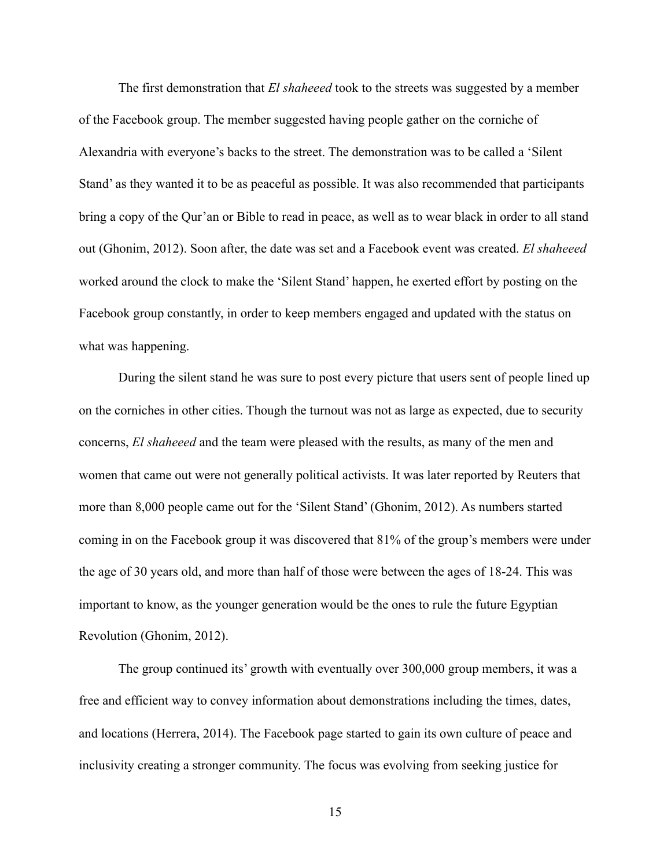The first demonstration that *El shaheeed* took to the streets was suggested by a member of the Facebook group. The member suggested having people gather on the corniche of Alexandria with everyone's backs to the street. The demonstration was to be called a 'Silent Stand' as they wanted it to be as peaceful as possible. It was also recommended that participants bring a copy of the Qur'an or Bible to read in peace, as well as to wear black in order to all stand out (Ghonim, 2012). Soon after, the date was set and a Facebook event was created. *El shaheeed* worked around the clock to make the 'Silent Stand' happen, he exerted effort by posting on the Facebook group constantly, in order to keep members engaged and updated with the status on what was happening.

 During the silent stand he was sure to post every picture that users sent of people lined up on the corniches in other cities. Though the turnout was not as large as expected, due to security concerns, *El shaheeed* and the team were pleased with the results, as many of the men and women that came out were not generally political activists. It was later reported by Reuters that more than 8,000 people came out for the 'Silent Stand' (Ghonim, 2012). As numbers started coming in on the Facebook group it was discovered that 81% of the group's members were under the age of 30 years old, and more than half of those were between the ages of 18-24. This was important to know, as the younger generation would be the ones to rule the future Egyptian Revolution (Ghonim, 2012).

 The group continued its' growth with eventually over 300,000 group members, it was a free and efficient way to convey information about demonstrations including the times, dates, and locations (Herrera, 2014). The Facebook page started to gain its own culture of peace and inclusivity creating a stronger community. The focus was evolving from seeking justice for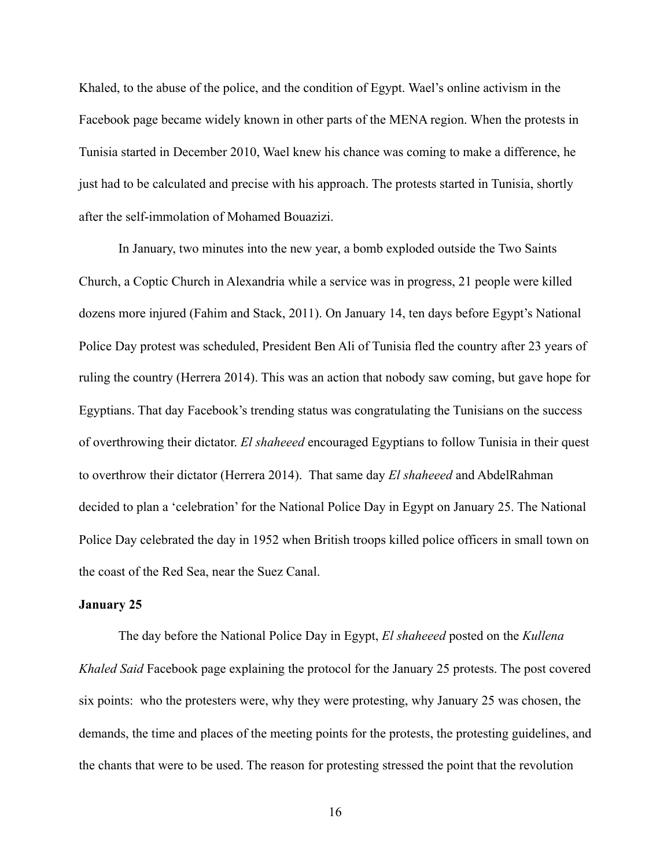Khaled, to the abuse of the police, and the condition of Egypt. Wael's online activism in the Facebook page became widely known in other parts of the MENA region. When the protests in Tunisia started in December 2010, Wael knew his chance was coming to make a difference, he just had to be calculated and precise with his approach. The protests started in Tunisia, shortly after the self-immolation of Mohamed Bouazizi.

 In January, two minutes into the new year, a bomb exploded outside the Two Saints Church, a Coptic Church in Alexandria while a service was in progress, 21 people were killed dozens more injured (Fahim and Stack, 2011). On January 14, ten days before Egypt's National Police Day protest was scheduled, President Ben Ali of Tunisia fled the country after 23 years of ruling the country (Herrera 2014). This was an action that nobody saw coming, but gave hope for Egyptians. That day Facebook's trending status was congratulating the Tunisians on the success of overthrowing their dictator. *El shaheeed* encouraged Egyptians to follow Tunisia in their quest to overthrow their dictator (Herrera 2014). That same day *El shaheeed* and AbdelRahman decided to plan a 'celebration' for the National Police Day in Egypt on January 25. The National Police Day celebrated the day in 1952 when British troops killed police officers in small town on the coast of the Red Sea, near the Suez Canal.

#### **January 25**

 The day before the National Police Day in Egypt, *El shaheeed* posted on the *Kullena Khaled Said* Facebook page explaining the protocol for the January 25 protests. The post covered six points: who the protesters were, why they were protesting, why January 25 was chosen, the demands, the time and places of the meeting points for the protests, the protesting guidelines, and the chants that were to be used. The reason for protesting stressed the point that the revolution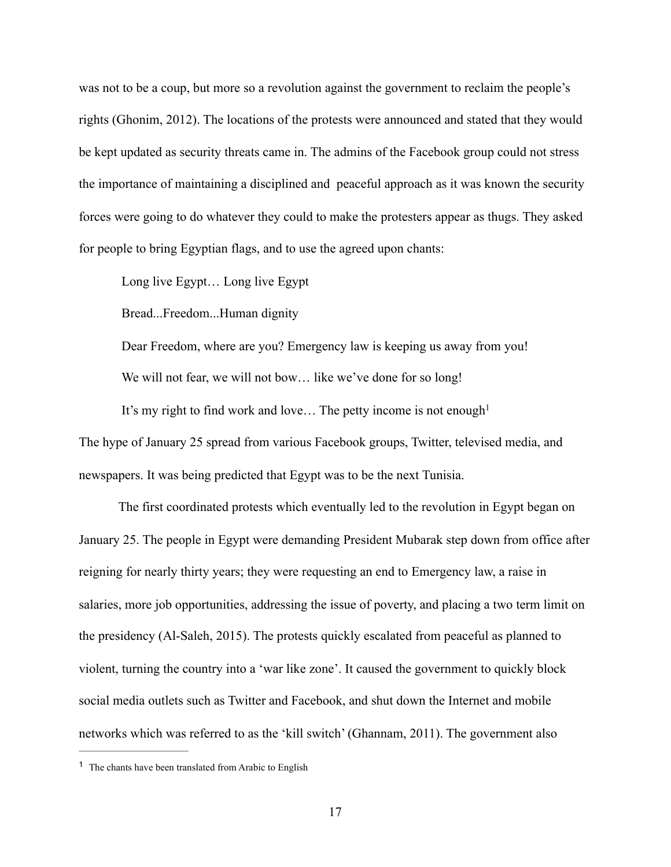was not to be a coup, but more so a revolution against the government to reclaim the people's rights (Ghonim, 2012). The locations of the protests were announced and stated that they would be kept updated as security threats came in. The admins of the Facebook group could not stress the importance of maintaining a disciplined and peaceful approach as it was known the security forces were going to do whatever they could to make the protesters appear as thugs. They asked for people to bring Egyptian flags, and to use the agreed upon chants:

Long live Egypt… Long live Egypt

Bread...Freedom...Human dignity

<span id="page-17-1"></span>Dear Freedom, where are you? Emergency law is keeping us away from you! We will not fear, we will not bow... like we've done for so long!

It's my right to find work and love... The petty income is not enough<sup>1</sup> The hype of January 25 spread from various Facebook groups, Twitter, televised media, and newspapers. It was being predicted that Egypt was to be the next Tunisia.

 The first coordinated protests which eventually led to the revolution in Egypt began on January 25. The people in Egypt were demanding President Mubarak step down from office after reigning for nearly thirty years; they were requesting an end to Emergency law, a raise in salaries, more job opportunities, addressing the issue of poverty, and placing a two term limit on the presidency (Al-Saleh, 2015). The protests quickly escalated from peaceful as planned to violent, turning the country into a 'war like zone'. It caused the government to quickly block social media outlets such as Twitter and Facebook, and shut down the Internet and mobile networks which was referred to as the 'kill switch' (Ghannam, 2011). The government also

<span id="page-17-0"></span> $<sup>1</sup>$  $<sup>1</sup>$  $<sup>1</sup>$  The chants have been translated from Arabic to English</sup>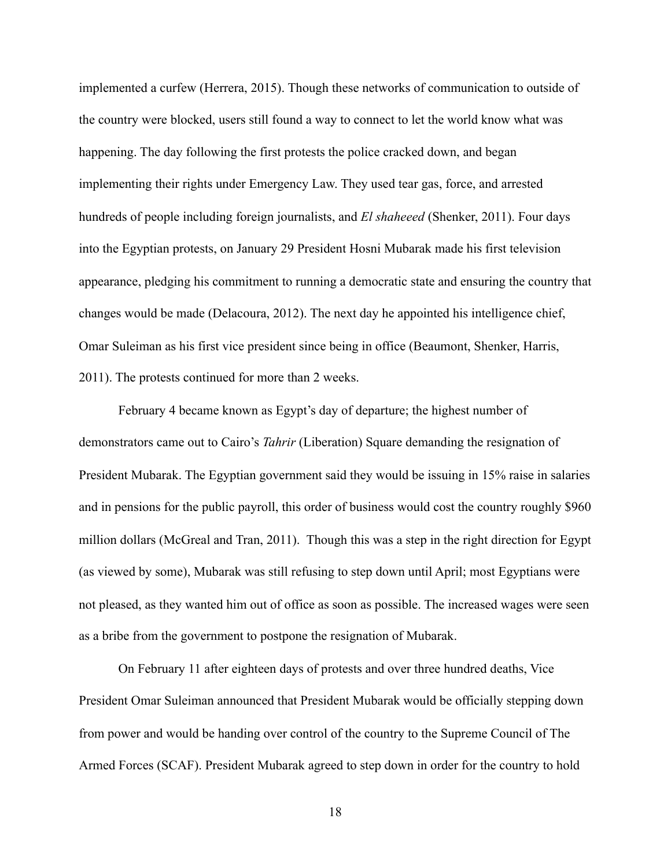implemented a curfew (Herrera, 2015). Though these networks of communication to outside of the country were blocked, users still found a way to connect to let the world know what was happening. The day following the first protests the police cracked down, and began implementing their rights under Emergency Law. They used tear gas, force, and arrested hundreds of people including foreign journalists, and *El shaheeed* (Shenker, 2011). Four days into the Egyptian protests, on January 29 President Hosni Mubarak made his first television appearance, pledging his commitment to running a democratic state and ensuring the country that changes would be made (Delacoura, 2012). The next day he appointed his intelligence chief, Omar Suleiman as his first vice president since being in office (Beaumont, Shenker, Harris, 2011). The protests continued for more than 2 weeks.

 February 4 became known as Egypt's day of departure; the highest number of demonstrators came out to Cairo's *Tahrir* (Liberation) Square demanding the resignation of President Mubarak. The Egyptian government said they would be issuing in 15% raise in salaries and in pensions for the public payroll, this order of business would cost the country roughly \$960 million dollars (McGreal and Tran, 2011). Though this was a step in the right direction for Egypt (as viewed by some), Mubarak was still refusing to step down until April; most Egyptians were not pleased, as they wanted him out of office as soon as possible. The increased wages were seen as a bribe from the government to postpone the resignation of Mubarak.

 On February 11 after eighteen days of protests and over three hundred deaths, Vice President Omar Suleiman announced that President Mubarak would be officially stepping down from power and would be handing over control of the country to the Supreme Council of The Armed Forces (SCAF). President Mubarak agreed to step down in order for the country to hold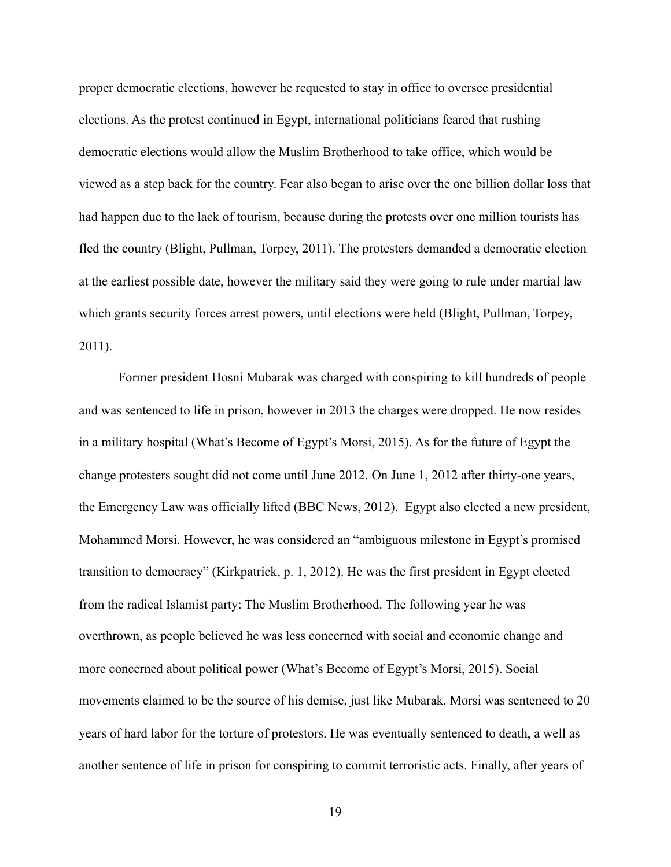proper democratic elections, however he requested to stay in office to oversee presidential elections. As the protest continued in Egypt, international politicians feared that rushing democratic elections would allow the Muslim Brotherhood to take office, which would be viewed as a step back for the country. Fear also began to arise over the one billion dollar loss that had happen due to the lack of tourism, because during the protests over one million tourists has fled the country (Blight, Pullman, Torpey, 2011). The protesters demanded a democratic election at the earliest possible date, however the military said they were going to rule under martial law which grants security forces arrest powers, until elections were held (Blight, Pullman, Torpey, 2011).

 Former president Hosni Mubarak was charged with conspiring to kill hundreds of people and was sentenced to life in prison, however in 2013 the charges were dropped. He now resides in a military hospital (What's Become of Egypt's Morsi, 2015). As for the future of Egypt the change protesters sought did not come until June 2012. On June 1, 2012 after thirty-one years, the Emergency Law was officially lifted (BBC News, 2012). Egypt also elected a new president, Mohammed Morsi. However, he was considered an "ambiguous milestone in Egypt's promised transition to democracy" (Kirkpatrick, p. 1, 2012). He was the first president in Egypt elected from the radical Islamist party: The Muslim Brotherhood. The following year he was overthrown, as people believed he was less concerned with social and economic change and more concerned about political power (What's Become of Egypt's Morsi, 2015). Social movements claimed to be the source of his demise, just like Mubarak. Morsi was sentenced to 20 years of hard labor for the torture of protestors. He was eventually sentenced to death, a well as another sentence of life in prison for conspiring to commit terroristic acts. Finally, after years of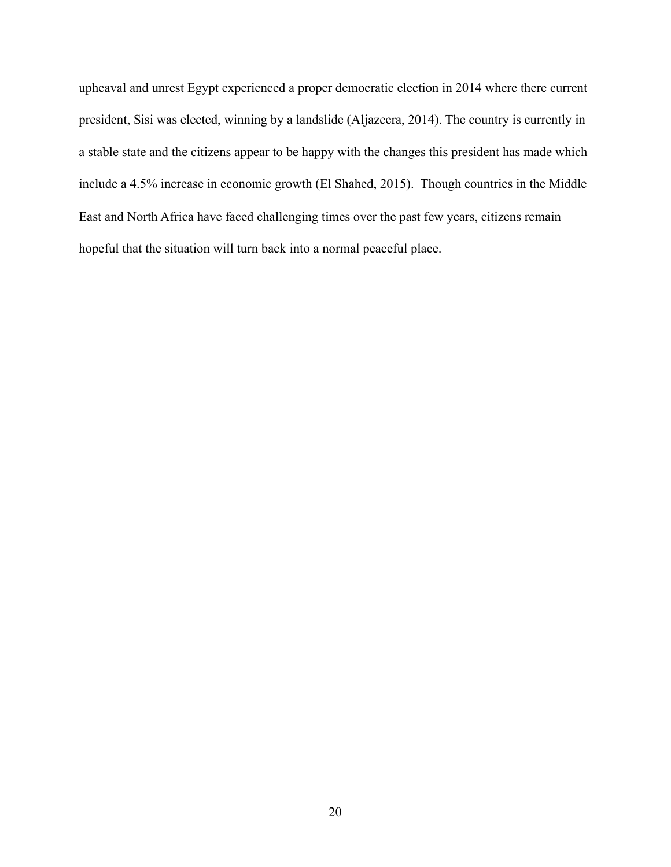upheaval and unrest Egypt experienced a proper democratic election in 2014 where there current president, Sisi was elected, winning by a landslide (Aljazeera, 2014). The country is currently in a stable state and the citizens appear to be happy with the changes this president has made which include a 4.5% increase in economic growth (El Shahed, 2015). Though countries in the Middle East and North Africa have faced challenging times over the past few years, citizens remain hopeful that the situation will turn back into a normal peaceful place.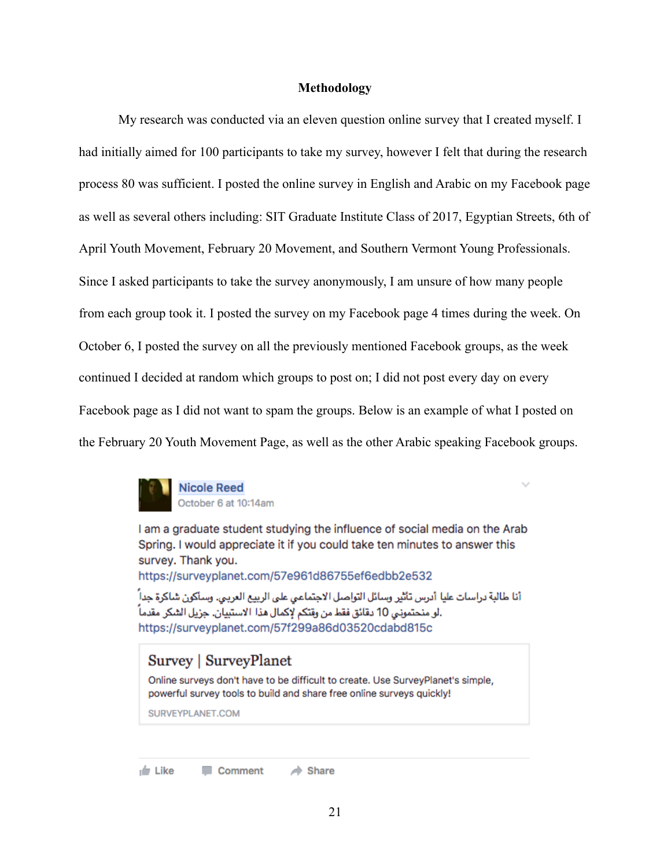#### **Methodology**

 My research was conducted via an eleven question online survey that I created myself. I had initially aimed for 100 participants to take my survey, however I felt that during the research process 80 was sufficient. I posted the online survey in English and Arabic on my Facebook page as well as several others including: SIT Graduate Institute Class of 2017, Egyptian Streets, 6th of April Youth Movement, February 20 Movement, and Southern Vermont Young Professionals. Since I asked participants to take the survey anonymously, I am unsure of how many people from each group took it. I posted the survey on my Facebook page 4 times during the week. On October 6, I posted the survey on all the previously mentioned Facebook groups, as the week continued I decided at random which groups to post on; I did not post every day on every Facebook page as I did not want to spam the groups. Below is an example of what I posted on the February 20 Youth Movement Page, as well as the other Arabic speaking Facebook groups.



I am a graduate student studying the influence of social media on the Arab Spring. I would appreciate it if you could take ten minutes to answer this survey. Thank you. https://surveyplanet.com/57e961d86755ef6edbb2e532 أنا طالبة دراسات عليا أدرس تأثير وسائل التواصل الاجتماعي على الربيع العربي. وسأكون شاكرة جداً .لو منحتموني 10 دقائق فقط من وقتكم لإكمال هذا الاستبيان. جزيل الشكر مقدماً https://surveyplanet.com/57f299a86d03520cdabd815c Survey | SurveyPlanet Online surveys don't have to be difficult to create. Use SurveyPlanet's simple, powerful survey tools to build and share free online surveys quickly! SURVEYPLANET.COM

 $\frac{1}{2}$  Like Comment  $\rightarrow$  Share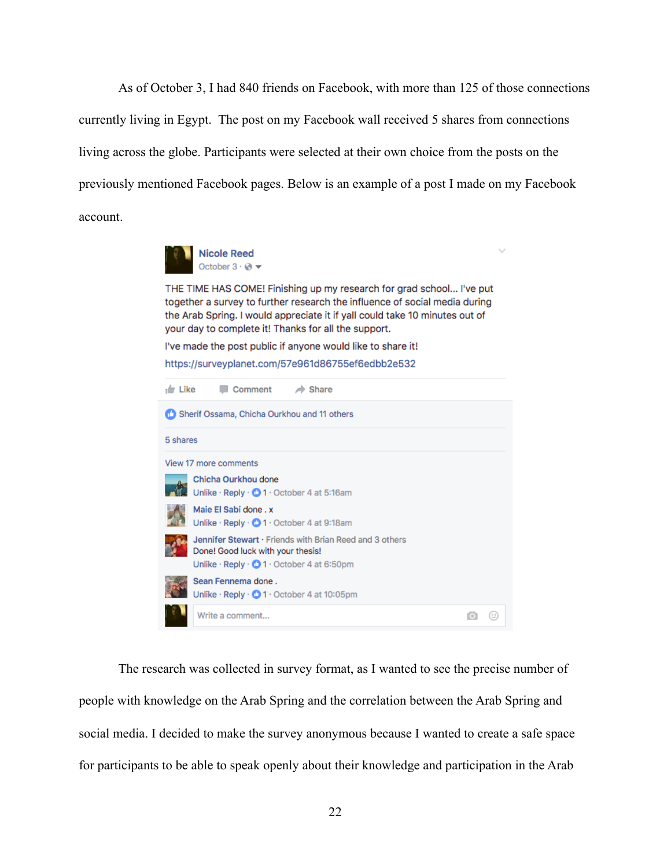As of October 3, I had 840 friends on Facebook, with more than 125 of those connections currently living in Egypt. The post on my Facebook wall received 5 shares from connections living across the globe. Participants were selected at their own choice from the posts on the previously mentioned Facebook pages. Below is an example of a post I made on my Facebook account.

Nicole Reed

| October $3 \cdot \textcircled{e}$ $\blacktriangledown$<br>THE TIME HAS COME! Finishing up my research for grad school I've put<br>together a survey to further research the influence of social media during<br>the Arab Spring. I would appreciate it if yall could take 10 minutes out of<br>your day to complete it! Thanks for all the support.<br>I've made the post public if anyone would like to share it!<br>https://surveyplanet.com/57e961d86755ef6edbb2e532 |  |
|-------------------------------------------------------------------------------------------------------------------------------------------------------------------------------------------------------------------------------------------------------------------------------------------------------------------------------------------------------------------------------------------------------------------------------------------------------------------------|--|
| $\frac{1}{2}$ Like<br>Comment<br>$\Rightarrow$ Share                                                                                                                                                                                                                                                                                                                                                                                                                    |  |
| Sherif Ossama, Chicha Ourkhou and 11 others                                                                                                                                                                                                                                                                                                                                                                                                                             |  |
| 5 shares                                                                                                                                                                                                                                                                                                                                                                                                                                                                |  |
| View 17 more comments<br>Chicha Ourkhou done<br>Unlike · Reply · 01 · October 4 at 5:16am<br>Maie El Sabi done, x<br>Unlike · Reply · $\bigcirc$ 1 · October 4 at 9:18am<br>Jennifer Stewart · Friends with Brian Reed and 3 others<br>Done! Good luck with your thesis!<br>Unlike $\cdot$ Reply $\cdot$ 0 1 $\cdot$ October 4 at 6:50pm<br>Sean Fennema done.<br>Unlike Reply $\cdot$ 0 1 $\cdot$ October 4 at 10:05pm                                                 |  |
| Write a comment<br>U<br>$\circ$                                                                                                                                                                                                                                                                                                                                                                                                                                         |  |

 The research was collected in survey format, as I wanted to see the precise number of people with knowledge on the Arab Spring and the correlation between the Arab Spring and social media. I decided to make the survey anonymous because I wanted to create a safe space for participants to be able to speak openly about their knowledge and participation in the Arab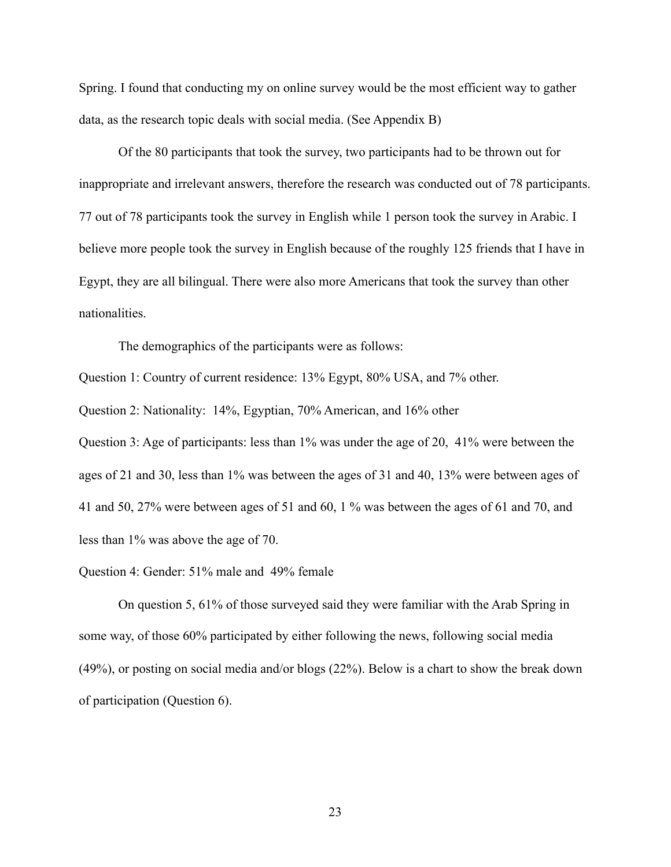Spring. I found that conducting my on online survey would be the most efficient way to gather data, as the research topic deals with social media. (See Appendix B)

 Of the 80 participants that took the survey, two participants had to be thrown out for inappropriate and irrelevant answers, therefore the research was conducted out of 78 participants. 77 out of 78 participants took the survey in English while 1 person took the survey in Arabic. I believe more people took the survey in English because of the roughly 125 friends that I have in Egypt, they are all bilingual. There were also more Americans that took the survey than other nationalities.

The demographics of the participants were as follows:

Question 1: Country of current residence: 13% Egypt, 80% USA, and 7% other.

Question 2: Nationality: 14%, Egyptian, 70% American, and 16% other

Question 3: Age of participants: less than 1% was under the age of 20, 41% were between the ages of 21 and 30, less than 1% was between the ages of 31 and 40, 13% were between ages of 41 and 50, 27% were between ages of 51 and 60, 1 % was between the ages of 61 and 70, and less than 1% was above the age of 70.

Question 4: Gender: 51% male and 49% female

 On question 5, 61% of those surveyed said they were familiar with the Arab Spring in some way, of those 60% participated by either following the news, following social media (49%), or posting on social media and/or blogs (22%). Below is a chart to show the break down of participation (Question 6).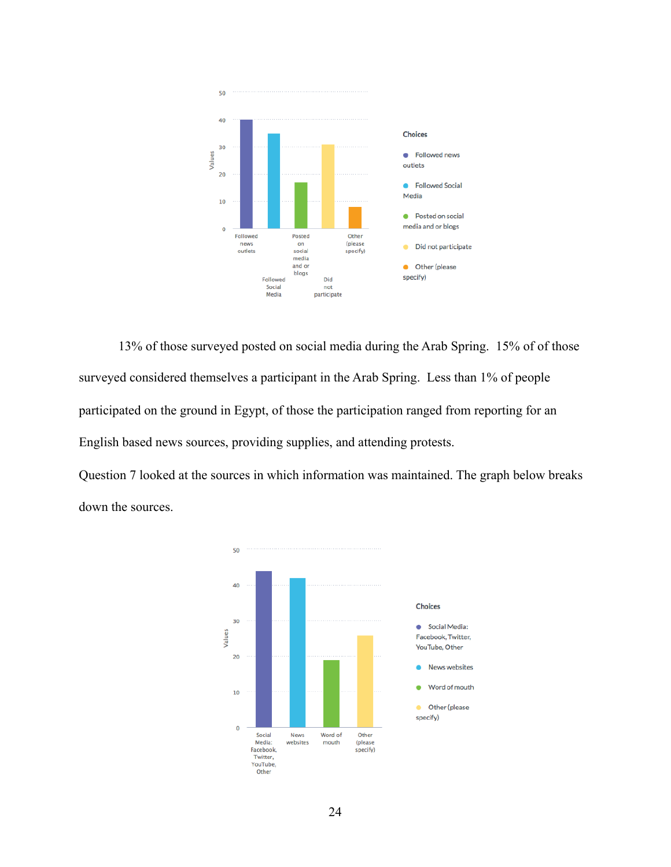

 13% of those surveyed posted on social media during the Arab Spring. 15% of of those surveyed considered themselves a participant in the Arab Spring. Less than 1% of people participated on the ground in Egypt, of those the participation ranged from reporting for an English based news sources, providing supplies, and attending protests.

Question 7 looked at the sources in which information was maintained. The graph below breaks down the sources.

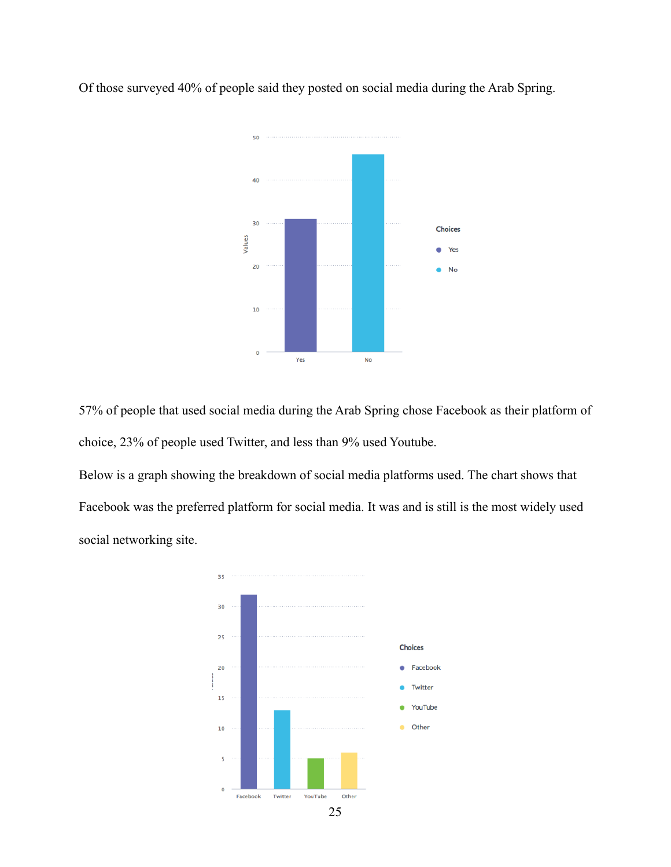

Of those surveyed 40% of people said they posted on social media during the Arab Spring.

57% of people that used social media during the Arab Spring chose Facebook as their platform of choice, 23% of people used Twitter, and less than 9% used Youtube.

Below is a graph showing the breakdown of social media platforms used. The chart shows that Facebook was the preferred platform for social media. It was and is still is the most widely used social networking site.

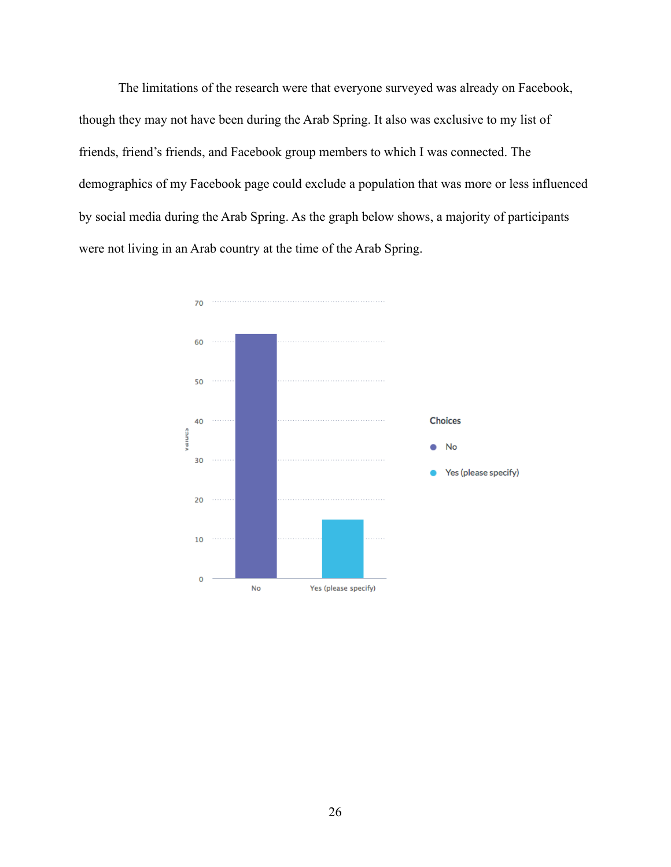The limitations of the research were that everyone surveyed was already on Facebook, though they may not have been during the Arab Spring. It also was exclusive to my list of friends, friend's friends, and Facebook group members to which I was connected. The demographics of my Facebook page could exclude a population that was more or less influenced by social media during the Arab Spring. As the graph below shows, a majority of participants were not living in an Arab country at the time of the Arab Spring.

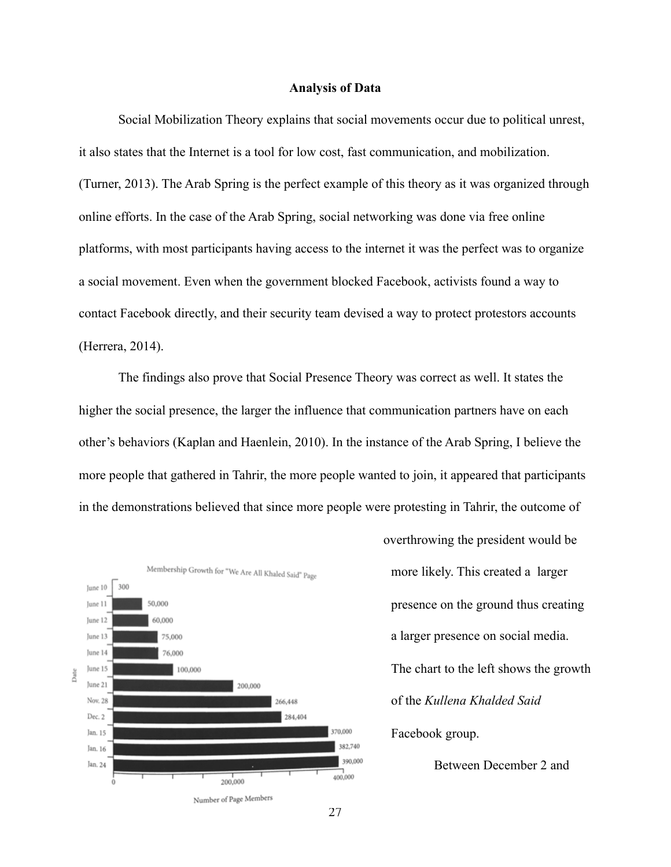#### **Analysis of Data**

 Social Mobilization Theory explains that social movements occur due to political unrest, it also states that the Internet is a tool for low cost, fast communication, and mobilization. (Turner, 2013). The Arab Spring is the perfect example of this theory as it was organized through online efforts. In the case of the Arab Spring, social networking was done via free online platforms, with most participants having access to the internet it was the perfect was to organize a social movement. Even when the government blocked Facebook, activists found a way to contact Facebook directly, and their security team devised a way to protect protestors accounts (Herrera, 2014).

 The findings also prove that Social Presence Theory was correct as well. It states the higher the social presence, the larger the influence that communication partners have on each other's behaviors (Kaplan and Haenlein, 2010). In the instance of the Arab Spring, I believe the more people that gathered in Tahrir, the more people wanted to join, it appeared that participants in the demonstrations believed that since more people were protesting in Tahrir, the outcome of



overthrowing the president would be more likely. This created a larger presence on the ground thus creating a larger presence on social media. The chart to the left shows the growth of the *Kullena Khalded Said* Facebook group.

Between December 2 and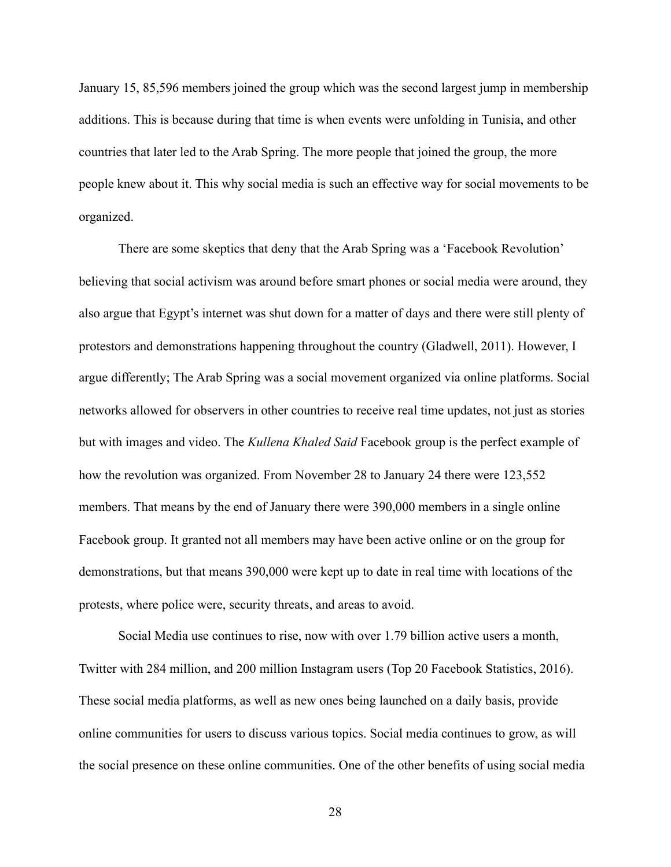January 15, 85,596 members joined the group which was the second largest jump in membership additions. This is because during that time is when events were unfolding in Tunisia, and other countries that later led to the Arab Spring. The more people that joined the group, the more people knew about it. This why social media is such an effective way for social movements to be organized.

 There are some skeptics that deny that the Arab Spring was a 'Facebook Revolution' believing that social activism was around before smart phones or social media were around, they also argue that Egypt's internet was shut down for a matter of days and there were still plenty of protestors and demonstrations happening throughout the country (Gladwell, 2011). However, I argue differently; The Arab Spring was a social movement organized via online platforms. Social networks allowed for observers in other countries to receive real time updates, not just as stories but with images and video. The *Kullena Khaled Said* Facebook group is the perfect example of how the revolution was organized. From November 28 to January 24 there were 123,552 members. That means by the end of January there were 390,000 members in a single online Facebook group. It granted not all members may have been active online or on the group for demonstrations, but that means 390,000 were kept up to date in real time with locations of the protests, where police were, security threats, and areas to avoid.

 Social Media use continues to rise, now with over 1.79 billion active users a month, Twitter with 284 million, and 200 million Instagram users (Top 20 Facebook Statistics, 2016). These social media platforms, as well as new ones being launched on a daily basis, provide online communities for users to discuss various topics. Social media continues to grow, as will the social presence on these online communities. One of the other benefits of using social media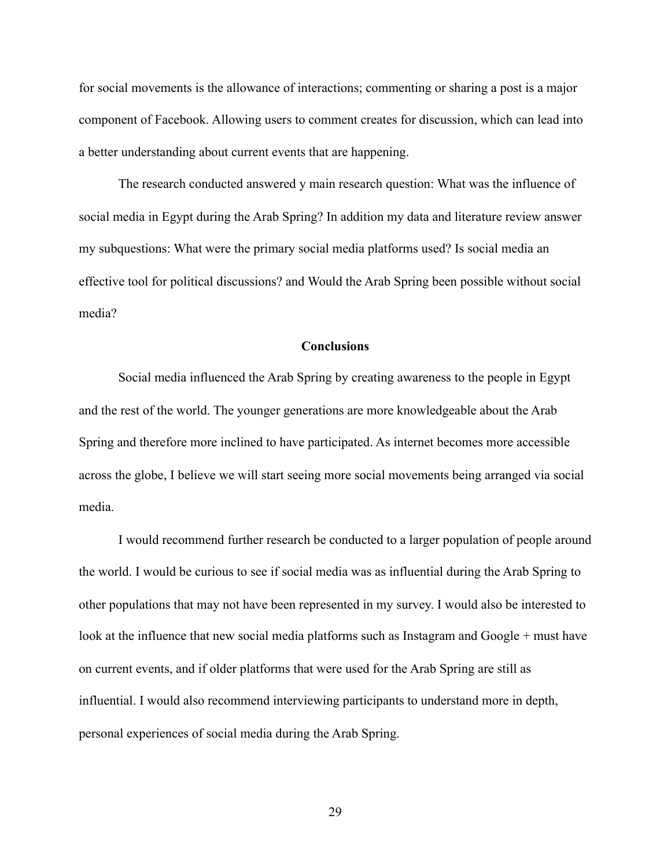for social movements is the allowance of interactions; commenting or sharing a post is a major component of Facebook. Allowing users to comment creates for discussion, which can lead into a better understanding about current events that are happening.

 The research conducted answered y main research question: What was the influence of social media in Egypt during the Arab Spring? In addition my data and literature review answer my subquestions: What were the primary social media platforms used? Is social media an effective tool for political discussions? and Would the Arab Spring been possible without social media?

#### **Conclusions**

 Social media influenced the Arab Spring by creating awareness to the people in Egypt and the rest of the world. The younger generations are more knowledgeable about the Arab Spring and therefore more inclined to have participated. As internet becomes more accessible across the globe, I believe we will start seeing more social movements being arranged via social media.

 I would recommend further research be conducted to a larger population of people around the world. I would be curious to see if social media was as influential during the Arab Spring to other populations that may not have been represented in my survey. I would also be interested to look at the influence that new social media platforms such as Instagram and Google + must have on current events, and if older platforms that were used for the Arab Spring are still as influential. I would also recommend interviewing participants to understand more in depth, personal experiences of social media during the Arab Spring.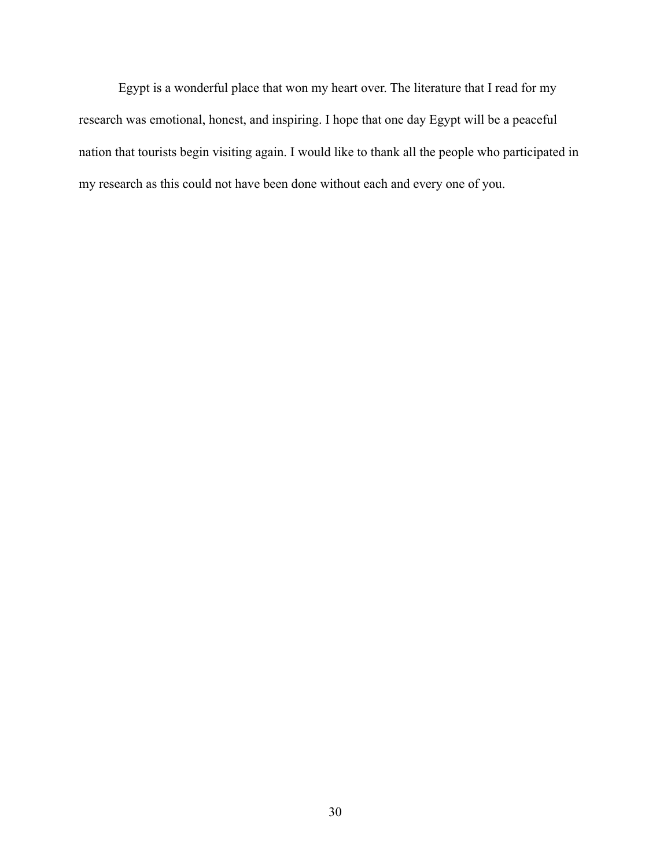Egypt is a wonderful place that won my heart over. The literature that I read for my research was emotional, honest, and inspiring. I hope that one day Egypt will be a peaceful nation that tourists begin visiting again. I would like to thank all the people who participated in my research as this could not have been done without each and every one of you.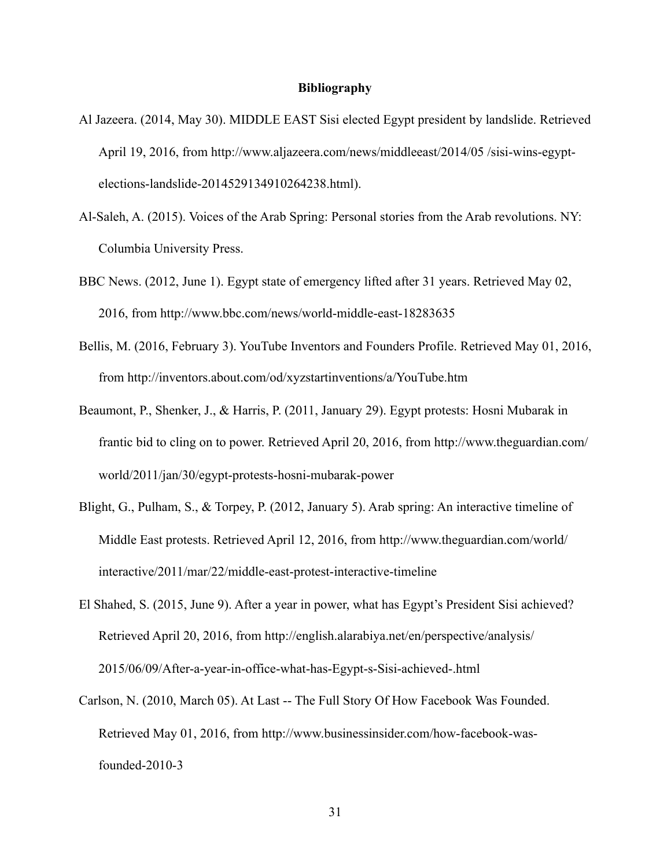#### **Bibliography**

- Al Jazeera. (2014, May 30). MIDDLE EAST Sisi elected Egypt president by landslide. Retrieved April 19, 2016, from http://www.aljazeera.com/news/middleeast/2014/05 /sisi-wins-egyptelections-landslide-2014529134910264238.html).
- Al-Saleh, A. (2015). Voices of the Arab Spring: Personal stories from the Arab revolutions. NY: Columbia University Press.
- BBC News. (2012, June 1). Egypt state of emergency lifted after 31 years. Retrieved May 02, 2016, from http://www.bbc.com/news/world-middle-east-18283635
- Bellis, M. (2016, February 3). YouTube Inventors and Founders Profile. Retrieved May 01, 2016, from http://inventors.about.com/od/xyzstartinventions/a/YouTube.htm
- Beaumont, P., Shenker, J., & Harris, P. (2011, January 29). Egypt protests: Hosni Mubarak in frantic bid to cling on to power. Retrieved April 20, 2016, from http://www.theguardian.com/ world/2011/jan/30/egypt-protests-hosni-mubarak-power
- Blight, G., Pulham, S., & Torpey, P. (2012, January 5). Arab spring: An interactive timeline of Middle East protests. Retrieved April 12, 2016, from http://www.theguardian.com/world/ interactive/2011/mar/22/middle-east-protest-interactive-timeline
- El Shahed, S. (2015, June 9). After a year in power, what has Egypt's President Sisi achieved? Retrieved April 20, 2016, from http://english.alarabiya.net/en/perspective/analysis/ 2015/06/09/After-a-year-in-office-what-has-Egypt-s-Sisi-achieved-.html
- Carlson, N. (2010, March 05). At Last -- The Full Story Of How Facebook Was Founded. Retrieved May 01, 2016, from http://www.businessinsider.com/how-facebook-wasfounded-2010-3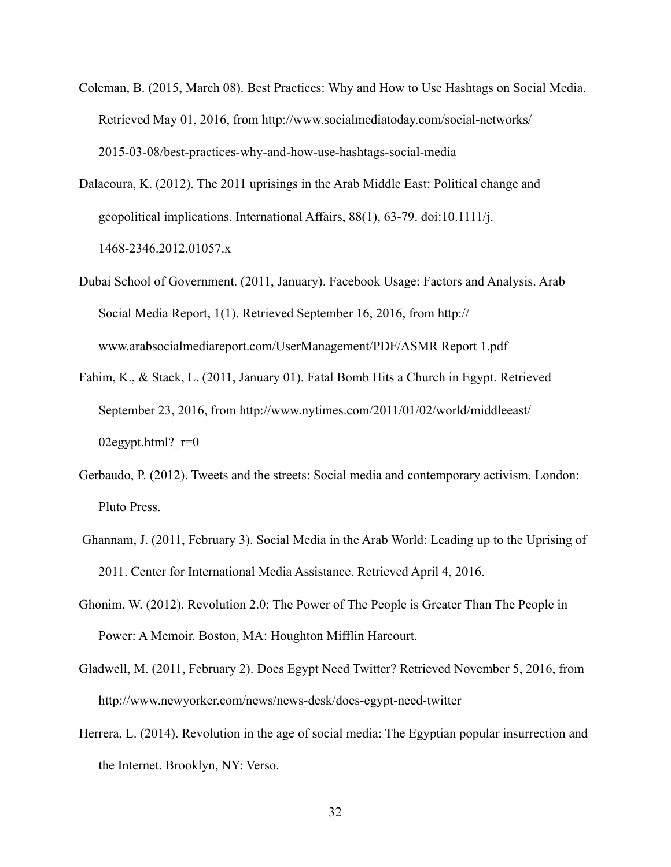- Coleman, B. (2015, March 08). Best Practices: Why and How to Use Hashtags on Social Media. Retrieved May 01, 2016, from http://www.socialmediatoday.com/social-networks/ 2015-03-08/best-practices-why-and-how-use-hashtags-social-media
- Dalacoura, K. (2012). The 2011 uprisings in the Arab Middle East: Political change and geopolitical implications. International Affairs, 88(1), 63-79. doi:10.1111/j. 1468-2346.2012.01057.x
- Dubai School of Government. (2011, January). Facebook Usage: Factors and Analysis. Arab Social Media Report, 1(1). Retrieved September 16, 2016, from http:// www.arabsocialmediareport.com/UserManagement/PDF/ASMR Report 1.pdf
- Fahim, K., & Stack, L. (2011, January 01). Fatal Bomb Hits a Church in Egypt. Retrieved September 23, 2016, from http://www.nytimes.com/2011/01/02/world/middleeast/ 02egypt.html? $r=0$
- Gerbaudo, P. (2012). Tweets and the streets: Social media and contemporary activism. London: Pluto Press.
- Ghannam, J. (2011, February 3). Social Media in the Arab World: Leading up to the Uprising of 2011. Center for International Media Assistance. Retrieved April 4, 2016.
- Ghonim, W. (2012). Revolution 2.0: The Power of The People is Greater Than The People in Power: A Memoir. Boston, MA: Houghton Mifflin Harcourt.
- Gladwell, M. (2011, February 2). Does Egypt Need Twitter? Retrieved November 5, 2016, from http://www.newyorker.com/news/news-desk/does-egypt-need-twitter
- Herrera, L. (2014). Revolution in the age of social media: The Egyptian popular insurrection and the Internet. Brooklyn, NY: Verso.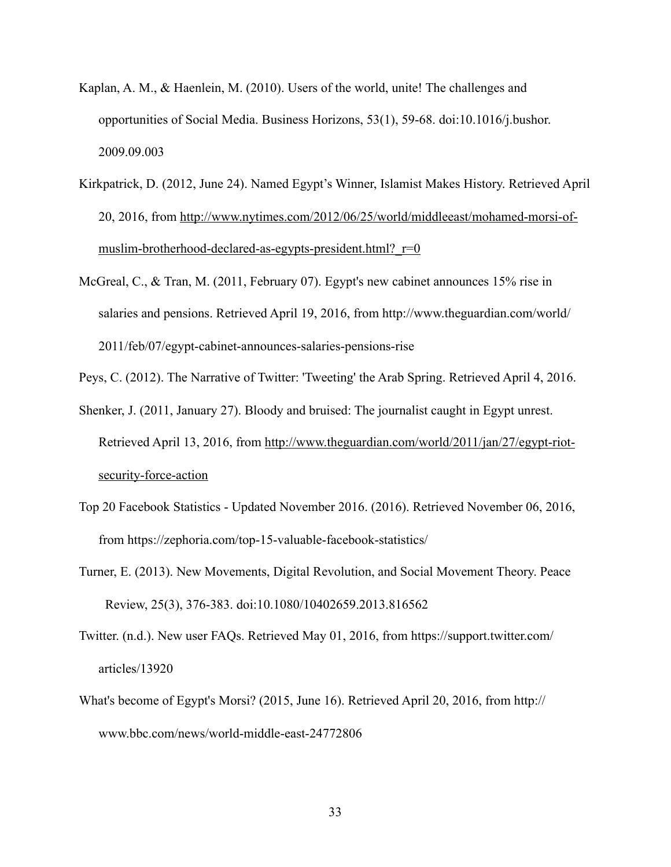- Kaplan, A. M., & Haenlein, M. (2010). Users of the world, unite! The challenges and opportunities of Social Media. Business Horizons, 53(1), 59-68. doi:10.1016/j.bushor. 2009.09.003
- Kirkpatrick, D. (2012, June 24). Named Egypt's Winner, Islamist Makes History. Retrieved April 20, 2016, from [http://www.nytimes.com/2012/06/25/world/middleeast/mohamed-morsi-of](http://www.nytimes.com/2012/06/25/world/middleeast/mohamed-morsi-of-muslim-brotherhood-declared-as-egypts-president.html?_r=0)muslim-brotherhood-declared-as-egypts-president.html?  $r=0$
- McGreal, C., & Tran, M. (2011, February 07). Egypt's new cabinet announces 15% rise in salaries and pensions. Retrieved April 19, 2016, from http://www.theguardian.com/world/ 2011/feb/07/egypt-cabinet-announces-salaries-pensions-rise

Peys, C. (2012). The Narrative of Twitter: 'Tweeting' the Arab Spring. Retrieved April 4, 2016.

- Shenker, J. (2011, January 27). Bloody and bruised: The journalist caught in Egypt unrest. Retrieved April 13, 2016, from [http://www.theguardian.com/world/2011/jan/27/egypt-riot](http://www.theguardian.com/world/2011/jan/27/egypt-riot-security-force-action)[security-force-action](http://www.theguardian.com/world/2011/jan/27/egypt-riot-security-force-action)
- Top 20 Facebook Statistics Updated November 2016. (2016). Retrieved November 06, 2016, from https://zephoria.com/top-15-valuable-facebook-statistics/
- Turner, E. (2013). New Movements, Digital Revolution, and Social Movement Theory. Peace Review, 25(3), 376-383. doi:10.1080/10402659.2013.816562
- Twitter. (n.d.). New user FAQs. Retrieved May 01, 2016, from https://support.twitter.com/ articles/13920
- What's become of Egypt's Morsi? (2015, June 16). Retrieved April 20, 2016, from http:// www.bbc.com/news/world-middle-east-24772806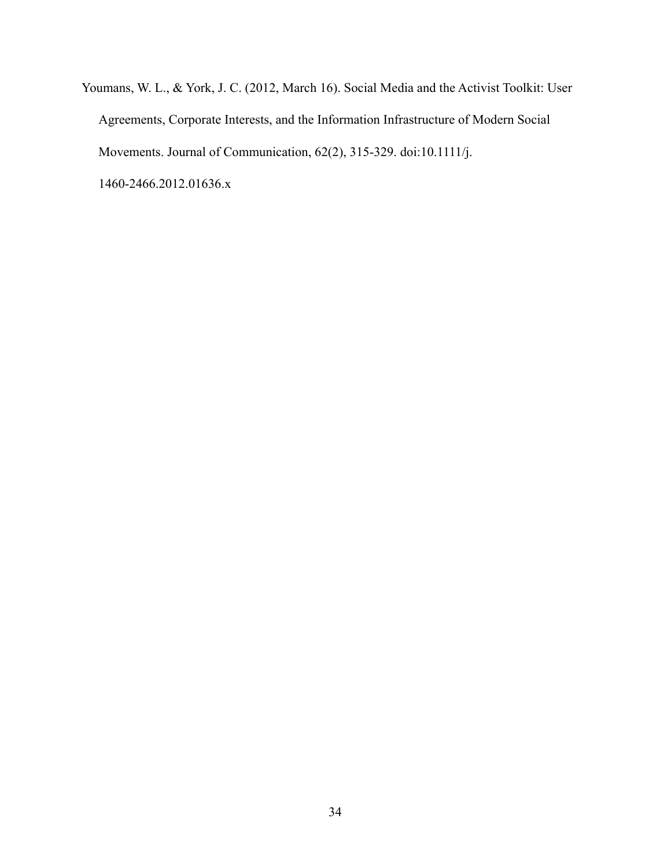Youmans, W. L., & York, J. C. (2012, March 16). Social Media and the Activist Toolkit: User Agreements, Corporate Interests, and the Information Infrastructure of Modern Social Movements. Journal of Communication, 62(2), 315-329. doi:10.1111/j.

1460-2466.2012.01636.x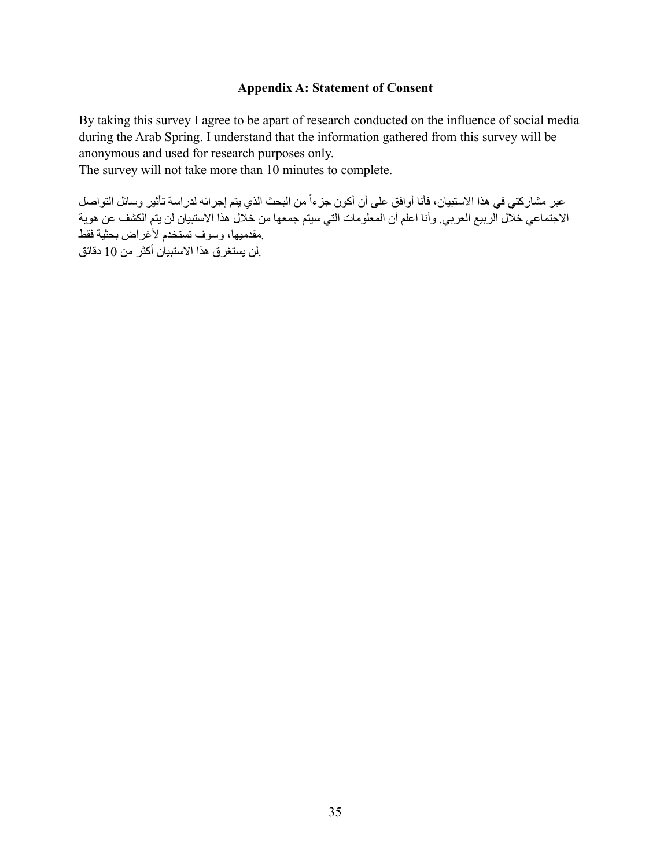## **Appendix A: Statement of Consent**

By taking this survey I agree to be apart of research conducted on the influence of social media during the Arab Spring. I understand that the information gathered from this survey will be anonymous and used for research purposes only.

The survey will not take more than 10 minutes to complete.

عبر مشاركتي في هذا الاستبيان، فأنا أوافق على أن أكون جزءاً من البحث الذي يتم إجرائه لدراسة تأثير وسائل التواصل الاجتماعي خلال الربیع العربي. وأنا اعلم أن المعلومات التي سیتم جمعھا من خلال ھذا الاستبیان لن یتم الكشف عن ھویة .مقدمیھا، وسوف تستخدم لأغراض بحثیة فقط .لن یستغرق ھذا الاستبیان أكثر من 10 دقائق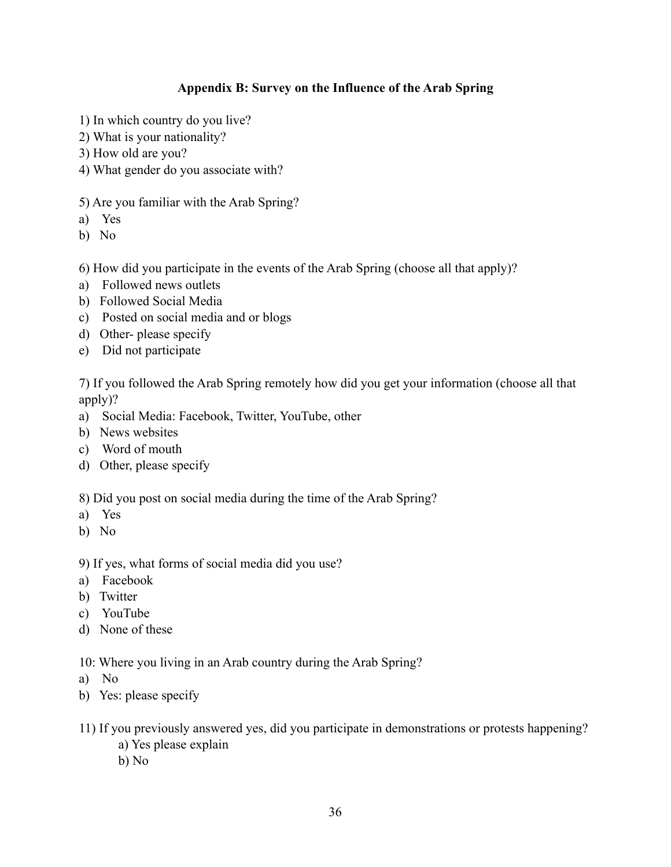## **Appendix B: Survey on the Influence of the Arab Spring**

- 1) In which country do you live?
- 2) What is your nationality?
- 3) How old are you?
- 4) What gender do you associate with?

## 5) Are you familiar with the Arab Spring?

- a) Yes
- b) No

6) How did you participate in the events of the Arab Spring (choose all that apply)?

- a) Followed news outlets
- b) Followed Social Media
- c) Posted on social media and or blogs
- d) Other- please specify
- e) Did not participate

7) If you followed the Arab Spring remotely how did you get your information (choose all that apply)?

- a) Social Media: Facebook, Twitter, YouTube, other
- b) News websites
- c) Word of mouth
- d) Other, please specify

8) Did you post on social media during the time of the Arab Spring?

- a) Yes
- b) No

## 9) If yes, what forms of social media did you use?

- a) Facebook
- b) Twitter
- c) YouTube
- d) None of these

## 10: Where you living in an Arab country during the Arab Spring?

- a) No
- b) Yes: please specify

11) If you previously answered yes, did you participate in demonstrations or protests happening?

- a) Yes please explain
- b) No